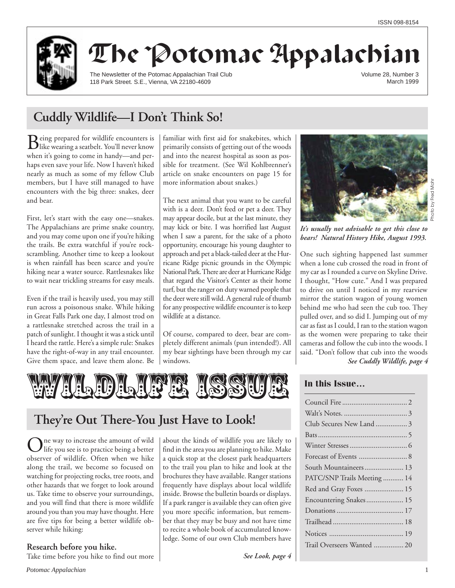

# The Potomac Appalachian

The Newsletter of the Potomac Appalachian Trail Club 118 Park Street. S.E., Vienna, VA 22180-4609

Volume 28, Number 3 March 1999

# **Cuddly Wildlife—I Don't Think So!**

Being prepared for wildlife encounters is like wearing a seatbelt. You'll never know when it's going to come in handy—and perhaps even save your life. Now I haven't hiked nearly as much as some of my fellow Club members, but I have still managed to have encounters with the big three: snakes, deer and bear.

First, let's start with the easy one—snakes. The Appalachians are prime snake country, and you may come upon one if you're hiking the trails. Be extra watchful if you're rockscrambling. Another time to keep a lookout is when rainfall has been scarce and you're hiking near a water source. Rattlesnakes like to wait near trickling streams for easy meals.

Even if the trail is heavily used, you may still run across a poisonous snake. While hiking in Great Falls Park one day, I almost trod on a rattlesnake stretched across the trail in a patch of sunlight. I thought it was a stick until I heard the rattle. Here's a simple rule: Snakes have the right-of-way in any trail encounter. Give them space, and leave them alone. Be familiar with first aid for snakebites, which primarily consists of getting out of the woods and into the nearest hospital as soon as possible for treatment. (See Wil Kohlbrenner's article on snake encounters on page 15 for more information about snakes.)

The next animal that you want to be careful with is a deer. Don't feed or pet a deer. They may appear docile, but at the last minute, they may kick or bite. I was horrified last August when I saw a parent, for the sake of a photo opportunity, encourage his young daughter to approach and pet a black-tailed deer at the Hurricane Ridge picnic grounds in the Olympic National Park. There are deer at Hurricane Ridge that regard the Visitor's Center as their home turf, but the ranger on duty warned people that the deer were still wild. A general rule of thumb for any prospective wildlife encounter is to keep wildlife at a distance.

Of course, compared to deer, bear are completely different animals (pun intended!). All my bear sightings have been through my car windows.



# **They're Out There-You Just Have to Look!**

 $\sum$ ne way to increase the amount of wild<br>life you see is to practice being a better observer of wildlife. Often when we hike along the trail, we become so focused on watching for projecting rocks, tree roots, and other hazards that we forget to look around us. Take time to observe your surroundings, and you will find that there is more wildlife around you than you may have thought. Here are five tips for being a better wildlife observer while hiking:

**Research before you hike.**

Take time before you hike to find out more

about the kinds of wildlife you are likely to find in the area you are planning to hike. Make a quick stop at the closest park headquarters to the trail you plan to hike and look at the brochures they have available. Ranger stations frequently have displays about local wildlife inside. Browse the bulletin boards or displays. If a park ranger is available they can often give you more specific information, but remember that they may be busy and not have time to recite a whole book of accumulated knowledge. Some of our own Club members have

*See Look, page 4*



*It's usually not advisable to get this close to bears! Natural History Hike, August 1993.*

*See Cuddly Wildlife, page 4* One such sighting happened last summer when a lone cub crossed the road in front of my car as I rounded a curve on Skyline Drive. I thought, "How cute." And I was prepared to drive on until I noticed in my rearview mirror the station wagon of young women behind me who had seen the cub too. They pulled over, and so did I. Jumping out of my car as fast as I could, I ran to the station wagon as the women were preparing to take their cameras and follow the cub into the woods. I said. "Don't follow that cub into the woods

# **In this Issue…**

| Club Secures New Land  3    |
|-----------------------------|
|                             |
|                             |
|                             |
| South Mountaineers 13       |
| PATC/SNP Trails Meeting  14 |
| Red and Gray Foxes  15      |
| Encountering Snakes 15      |
|                             |
|                             |
|                             |
| Trail Overseers Wanted  20  |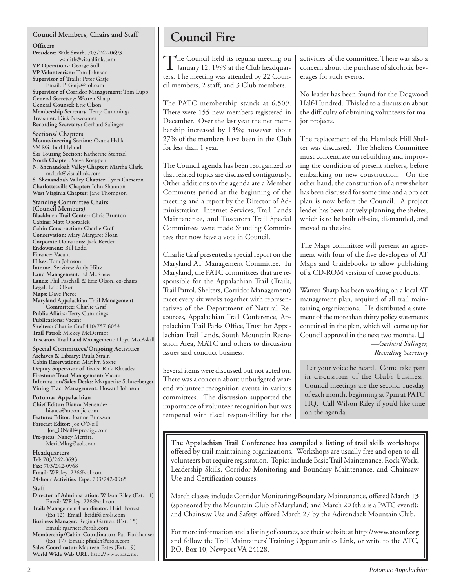### **Council Members, Chairs and Staff**

#### **Officers**

**President:** Walt Smith, 703/242-0693, wsmith@visuallink.com **VP Operations:** George Still **VP Volunteerism:** Tom Johnson **Supervisor of Trails:** Peter Gatje Email: PJGatje@aol.com **Supervisor of Corridor Management:** Tom Lupp **General Secretary:** Warren Sharp **General Counsel:** Eric Olson **Membership Secretary:** Terry Cummings **Treasurer:** Dick Newcomer **Recording Secretary:** Gerhard Salinger

**Sections/ Chapters Mountaineering Section:** Ozana Halik **SMRG**: Bud Hyland **Ski Touring Section:** Katherine Stentzel **North Chapter:** Steve Koeppen **N. Shenandoah Valley Chapter:** Martha Clark, mclark@visuallink.com **S. Shenandoah Valley Chapter:** Lynn Cameron **Charlottesville Chapter:** John Shannon **West Virginia Chapter:** Jane Thompson

**Standing Committee Chairs (Council Members) Blackburn Trail Center:** Chris Brunton **Cabins:** Matt Ogorzalek **Cabin Construction:** Charlie Graf **Conservation:** Mary Margaret Sloan **Corporate Donations:** Jack Reeder **Endowment:** Bill Ladd **Finance:** Vacant **Hikes:** Tom Johnson **Internet Services:** Andy Hiltz **Land Management:** Ed McKnew **Lands:** Phil Paschall & Eric Olson, co-chairs **Legal:** Eric Olson **Maps:** Dave Pierce **Maryland Appalachian Trail Management Committee:** Charlie Graf **Public Affairs:** Terry Cummings **Publications:** Vacant **Shelters:** Charlie Graf 410/757-6053 **Trail Patrol:** Mickey McDermot **Tuscarora Trail Land Management:** Lloyd MacAskill

**Special Committees/Ongoing Activities Archives & Library:** Paula Strain **Cabin Reservations:** Marilyn Stone **Deputy Supervisor of Trails:** Rick Rhoades **Firestone Tract Management:** Vacant **Information/Sales Desks:** Marguerite Schneeberger **Vining Tract Management:** Howard Johnson

**Potomac Appalachian Chief Editor:** Bianca Menendez bianca@moon.jic.com **Features Editor:** Joanne Erickson **Forecast Editor:** Joe O'Neill Joe\_ONeill@prodigy.com **Pre-press:** Nancy Merritt, MeritMktg@aol.com

#### **Headquarters Tel:** 703/242-0693

**Fax:** 703/242-0968 **Email:** WRiley1226@aol.com **24-hour Activities Tape:** 703/242-0965

#### **Staff**

**Director of Administration:** Wilson Riley (Ext. 11) Email: WRiley1226@aol.com

**Trails Management Coordinator:** Heidi Forrest (Ext.12) Email: heidif@erols.com

**Business Manager:** Regina Garnett (Ext. 15) Email: rgarnett@erols.com

**Membership/Cabin Coordinator:** Pat Fankhauser (Ext. 17) Email: pfankh@erols.com

**Sales Coordinator:** Maureen Estes (Ext. 19) **World Wide Web URL:** http://www.patc.net

# **Council Fire**

The Council held its regular meeting on<br>January 12, 1999 at the Club headquarters. The meeting was attended by 22 Council members, 2 staff, and 3 Club members.

The PATC membership stands at 6,509. There were 155 new members registered in December. Over the last year the net membership increased by 13%; however about 27% of the members have been in the Club for less than 1 year.

The Council agenda has been reorganized so that related topics are discussed contiguously. Other additions to the agenda are a Member Comments period at the beginning of the meeting and a report by the Director of Administration. Internet Services, Trail Lands Maintenance, and Tuscarora Trail Special Committees were made Standing Committees that now have a vote in Council.

Charlie Graf presented a special report on the Maryland AT Management Committee. In Maryland, the PATC committees that are responsible for the Appalachian Trail (Trails, Trail Patrol, Shelters, Corridor Management) meet every six weeks together with representatives of the Department of Natural Resources, Appalachian Trail Conference, Appalachian Trail Parks Office, Trust for Appalachian Trail Lands, South Mountain Recreation Area, MATC and others to discussion issues and conduct business.

Several items were discussed but not acted on. There was a concern about unbudgeted yearend volunteer recognition events in various committees. The discussion supported the importance of volunteer recognition but was tempered with fiscal responsibility for the activities of the committee. There was also a concern about the purchase of alcoholic beverages for such events.

No leader has been found for the Dogwood Half-Hundred. This led to a discussion about the difficulty of obtaining volunteers for major projects.

The replacement of the Hemlock Hill Shelter was discussed. The Shelters Committee must concentrate on rebuilding and improving the condition of present shelters, before embarking on new construction. On the other hand, the construction of a new shelter has been discussed for some time and a project plan is now before the Council. A project leader has been actively planning the shelter, which is to be built off-site, dismantled, and moved to the site.

The Maps committee will present an agreement with four of the five developers of AT Maps and Guidebooks to allow publishing of a CD-ROM version of those products.

Warren Sharp has been working on a local AT management plan, required of all trail maintaining organizations. He distributed a statement of the more than thirty policy statements contained in the plan, which will come up for Council approval in the next two months. ❑ *—Gerhard Salinger, Recording Secretary*

 Let your voice be heard. Come take part in discussions of the Club's business. Council meetings are the second Tuesday of each month, beginning at 7pm at PATC HQ. Call Wilson Riley if you'd like time on the agenda.

**The Appalachian Trail Conference has compiled a listing of trail skills workshops** offered by trail maintaining organizations. Workshops are usually free and open to all volunteers but require registration. Topics include Basic Trail Maintenance, Rock Work, Leadership Skills, Corridor Monitoring and Boundary Maintenance, and Chainsaw Use and Certification courses.

March classes include Corridor Monitoring/Boundary Maintenance, offered March 13 (sponsored by the Mountain Club of Maryland) and March 20 (this is a PATC event!); and Chainsaw Use and Safety, offered March 27 by the Adirondack Mountain Club.

For more information and a listing of courses, see their website at http://www.atconf.org and follow the Trail Maintainers' Training Opportunities Link, or write to the ATC, P.O. Box 10, Newport VA 24128.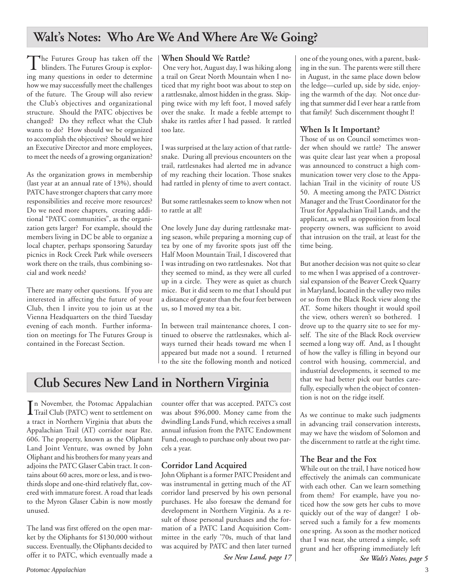# **Walt's Notes: Who Are We And Where Are We Going?**

The Futures Group has taken off the blinders. The Futures Group is exploring many questions in order to determine how we may successfully meet the challenges of the future. The Group will also review the Club's objectives and organizational structure. Should the PATC objectives be changed? Do they reflect what the Club wants to do? How should we be organized to accomplish the objectives? Should we hire an Executive Director and more employees, to meet the needs of a growing organization?

As the organization grows in membership (last year at an annual rate of 13%), should PATC have stronger chapters that carry more responsibilities and receive more resources? Do we need more chapters, creating additional "PATC communities", as the organization gets larger? For example, should the members living in DC be able to organize a local chapter, perhaps sponsoring Saturday picnics in Rock Creek Park while overseers work there on the trails, thus combining social and work needs?

There are many other questions. If you are interested in affecting the future of your Club, then I invite you to join us at the Vienna Headquarters on the third Tuesday evening of each month. Further information on meetings for The Futures Group is contained in the Forecast Section.

### **When Should We Rattle?**

 One very hot, August day, I was hiking along a trail on Great North Mountain when I noticed that my right boot was about to step on a rattlesnake, almost hidden in the grass. Skipping twice with my left foot, I moved safely over the snake. It made a feeble attempt to shake its rattles after I had passed. It rattled too late.

I was surprised at the lazy action of that rattlesnake. During all previous encounters on the trail, rattlesnakes had alerted me in advance of my reaching their location. Those snakes had rattled in plenty of time to avert contact.

But some rattlesnakes seem to know when not to rattle at all!

One lovely June day during rattlesnake mating season, while preparing a morning cup of tea by one of my favorite spots just off the Half Moon Mountain Trail, I discovered that I was intruding on two rattlesnakes. Not that they seemed to mind, as they were all curled up in a circle. They were as quiet as church mice. But it did seem to me that I should put a distance of greater than the four feet between us, so I moved my tea a bit.

In between trail maintenance chores, I continued to observe the rattlesnakes, which always turned their heads toward me when I appeared but made not a sound. I returned to the site the following month and noticed

# **Club Secures New Land in Northern Virginia**

In November, the Potomac Appalachian<br>Trail Club (PATC) went to settlement on Trail Club (PATC) went to settlement on a tract in Northern Virginia that abuts the Appalachian Trail (AT) corridor near Rte. 606. The property, known as the Oliphant Land Joint Venture, was owned by John Oliphant and his brothers for many years and adjoins the PATC Glaser Cabin tract. It contains about 60 acres, more or less, and is twothirds slope and one-third relatively flat, covered with immature forest. A road that leads to the Myron Glaser Cabin is now mostly unused.

The land was first offered on the open market by the Oliphants for \$130,000 without success. Eventually, the Oliphants decided to offer it to PATC, which eventually made a

counter offer that was accepted. PATC's cost was about \$96,000. Money came from the dwindling Lands Fund, which receives a small annual infusion from the PATC Endowment Fund, enough to purchase only about two parcels a year.

# **Corridor Land Acquired**

John Oliphant is a former PATC President and was instrumental in getting much of the AT corridor land preserved by his own personal purchases. He also foresaw the demand for development in Northern Virginia. As a result of those personal purchases and the formation of a PATC Land Acquisition Committee in the early '70s, much of that land was acquired by PATC and then later turned

*See New Land, page 17*

one of the young ones, with a parent, basking in the sun. The parents were still there in August, in the same place down below the ledge—curled up, side by side, enjoying the warmth of the day. Not once during that summer did I ever hear a rattle from that family! Such discernment thought I!

## **When Is It Important?**

Those of us on Council sometimes wonder when should we rattle? The answer was quite clear last year when a proposal was announced to construct a high communication tower very close to the Appalachian Trail in the vicinity of route US 50. A meeting among the PATC District Manager and the Trust Coordinator for the Trust for Appalachian Trail Lands, and the applicant, as well as opposition from local property owners, was sufficient to avoid that intrusion on the trail, at least for the time being.

But another decision was not quite so clear to me when I was apprised of a controversial expansion of the Beaver Creek Quarry in Maryland, located in the valley two miles or so from the Black Rock view along the AT. Some hikers thought it would spoil the view, others weren't so bothered. I drove up to the quarry site to see for myself. The site of the Black Rock overview seemed a long way off. And, as I thought of how the valley is filling in beyond our control with housing, commercial, and industrial developments, it seemed to me that we had better pick our battles carefully, especially when the object of contention is not on the ridge itself.

As we continue to make such judgments in advancing trail conservation interests, may we have the wisdom of Solomon and the discernment to rattle at the right time.

### **The Bear and the Fox**

While out on the trail, I have noticed how effectively the animals can communicate with each other. Can we learn something from them? For example, have you noticed how the sow gets her cubs to move quickly out of the way of danger? I observed such a family for a few moments one spring. As soon as the mother noticed that I was near, she uttered a simple, soft grunt and her offspring immediately left

*See Walt's Notes, page 5*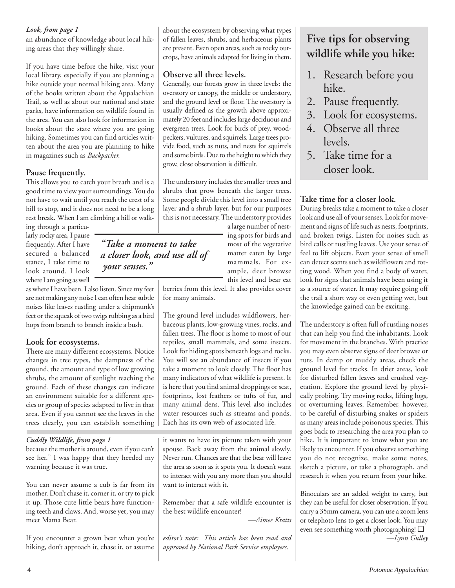### *Look, from page 1*

an abundance of knowledge about local hiking areas that they willingly share.

If you have time before the hike, visit your local library, especially if you are planning a hike outside your normal hiking area. Many of the books written about the Appalachian Trail, as well as about our national and state parks, have information on wildlife found in the area. You can also look for information in books about the state where you are going hiking. Sometimes you can find articles written about the area you are planning to hike in magazines such as *Backpacker.*

## **Pause frequently.**

This allows you to catch your breath and is a good time to view your surroundings. You do not have to wait until you reach the crest of a hill to stop, and it does not need to be a long rest break. When I am climbing a hill or walk-

> *"Take a moment to take a closer look, and use all of*

 *your senses."*

ing through a particularly rocky area, I pause frequently. After I have secured a balanced stance, I take time to look around. I look where I am going as well

as where I have been. I also listen. Since my feet are not making any noise I can often hear subtle noises like leaves rustling under a chipmunk's feet or the squeak of two twigs rubbing as a bird hops from branch to branch inside a bush.

# **Look for ecosystems.**

There are many different ecosystems. Notice changes in tree types, the dampness of the ground, the amount and type of low growing shrubs, the amount of sunlight reaching the ground. Each of these changes can indicate an environment suitable for a different species or group of species adapted to live in that area. Even if you cannot see the leaves in the trees clearly, you can establish something

### *Cuddly Wildlife, from page 1*

because the mother is around, even if you can't see her." I was happy that they heeded my warning because it was true.

You can never assume a cub is far from its mother. Don't chase it, corner it, or try to pick it up. Those cute little bears have functioning teeth and claws. And, worse yet, you may meet Mama Bear.

If you encounter a grown bear when you're hiking, don't approach it, chase it, or assume about the ecosystem by observing what types of fallen leaves, shrubs, and herbaceous plants are present. Even open areas, such as rocky outcrops, have animals adapted for living in them.

# **Observe all three levels.**

Generally, our forests grow in three levels: the overstory or canopy, the middle or understory, and the ground level or floor. The overstory is usually defined as the growth above approximately 20 feet and includes large deciduous and evergreen trees. Look for birds of prey, woodpeckers, vultures, and squirrels. Large trees provide food, such as nuts, and nests for squirrels and some birds. Due to the height to which they grow, close observation is difficult.

The understory includes the smaller trees and shrubs that grow beneath the larger trees. Some people divide this level into a small tree layer and a shrub layer, but for our purposes this is not necessary. The understory provides

a large number of nesting spots for birds and most of the vegetative matter eaten by large mammals. For example, deer browse this level and bear eat

berries from this level. It also provides cover for many animals.

The ground level includes wildflowers, herbaceous plants, low-growing vines, rocks, and fallen trees. The floor is home to most of our reptiles, small mammals, and some insects. Look for hiding spots beneath logs and rocks. You will see an abundance of insects if you take a moment to look closely. The floor has many indicators of what wildlife is present. It is here that you find animal droppings or scat, footprints, lost feathers or tufts of fur, and many animal dens. This level also includes water resources such as streams and ponds. Each has its own web of associated life.

it wants to have its picture taken with your spouse. Back away from the animal slowly. Never run. Chances are that the bear will leave the area as soon as it spots you. It doesn't want to interact with you any more than you should want to interact with it.

Remember that a safe wildlife encounter is the best wildlife encounter!

*—Aimee Kratts*

*editor's note: This article has been read and approved by National Park Service employees.*

# **Five tips for observing wildlife while you hike:**

- 1. Research before you hike.
- 2. Pause frequently.
- 3. Look for ecosystems.
- 4. Observe all three levels.
- 5. Take time for a closer look.

# **Take time for a closer look.**

During breaks take a moment to take a closer look and use all of your senses. Look for movement and signs of life such as nests, footprints, and broken twigs. Listen for noises such as bird calls or rustling leaves. Use your sense of feel to lift objects. Even your sense of smell can detect scents such as wildflowers and rotting wood. When you find a body of water, look for signs that animals have been using it as a source of water. It may require going off the trail a short way or even getting wet, but the knowledge gained can be exciting.

The understory is often full of rustling noises that can help you find the inhabitants. Look for movement in the branches. With practice you may even observe signs of deer browse or ruts. In damp or muddy areas, check the ground level for tracks. In drier areas, look for disturbed fallen leaves and crushed vegetation. Explore the ground level by physically probing. Try moving rocks, lifting logs, or overturning leaves. Remember, however, to be careful of disturbing snakes or spiders as many areas include poisonous species. This goes back to researching the area you plan to hike. It is important to know what you are likely to encounter. If you observe something you do not recognize, make some notes, sketch a picture, or take a photograph, and research it when you return from your hike.

Binoculars are an added weight to carry, but they can be useful for closer observation. If you carry a 35mm camera, you can use a zoom lens or telephoto lens to get a closer look. You may even see something worth photographing! ❑ *—Lynn Gulley*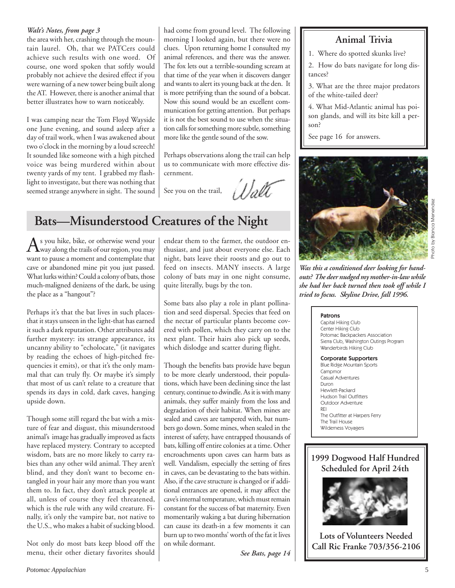### *Walt's Notes, from page 3*

the area with her, crashing through the mountain laurel. Oh, that we PATCers could achieve such results with one word. Of course, one word spoken that softly would probably not achieve the desired effect if you were warning of a new tower being built along the AT. However, there is another animal that better illustrates how to warn noticeably.

I was camping near the Tom Floyd Wayside one June evening, and sound asleep after a day of trail work, when I was awakened about two o'clock in the morning by a loud screech! It sounded like someone with a high pitched voice was being murdered within about twenty yards of my tent. I grabbed my flashlight to investigate, but there was nothing that seemed strange anywhere in sight. The sound had come from ground level. The following morning I looked again, but there were no clues. Upon returning home I consulted my animal references, and there was the answer. The fox lets out a terrible-sounding scream at that time of the year when it discovers danger and wants to alert its young back at the den. It is more petrifying than the sound of a bobcat. Now this sound would be an excellent communication for getting attention. But perhaps it is not the best sound to use when the situation calls for something more subtle, something more like the gentle sound of the sow.

Perhaps observations along the trail can help us to communicate with more effective discernment.

Walt See you on the trail,

# **Bats—Misunderstood Creatures of the Night**

 $A$ s you hike, bike, or otherwise wend your  $A$ way along the trails of our region, you may want to pause a moment and contemplate that cave or abandoned mine pit you just passed. What lurks within? Could a colony of bats, those much-maligned denizens of the dark, be using the place as a "hangout"?

Perhaps it's that the bat lives in such placesthat it stays unseen in the light-that has earned it such a dark reputation. Other attributes add further mystery: its strange appearance, its uncanny ability to "echolocate," (it navigates by reading the echoes of high-pitched frequencies it emits), or that it's the only mammal that can truly fly. Or maybe it's simply that most of us can't relate to a creature that spends its days in cold, dark caves, hanging upside down.

Though some still regard the bat with a mixture of fear and disgust, this misunderstood animal's image has gradually improved as facts have replaced mystery. Contrary to accepted wisdom, bats are no more likely to carry rabies than any other wild animal. They aren't blind, and they don't want to become entangled in your hair any more than you want them to. In fact, they don't attack people at all, unless of course they feel threatened, which is the rule with any wild creature. Finally, it's only the vampire bat, not native to the U.S., who makes a habit of sucking blood.

Not only do most bats keep blood off the menu, their other dietary favorites should endear them to the farmer, the outdoor enthusiast, and just about everyone else. Each night, bats leave their roosts and go out to feed on insects. MANY insects. A large colony of bats may in one night consume, quite literally, bugs by the ton.

Some bats also play a role in plant pollination and seed dispersal. Species that feed on the nectar of particular plants become covered with pollen, which they carry on to the next plant. Their hairs also pick up seeds, which dislodge and scatter during flight.

Though the benefits bats provide have begun to be more clearly understood, their populations, which have been declining since the last century, continue to dwindle. As it is with many animals, they suffer mainly from the loss and degradation of their habitat. When mines are sealed and caves are tampered with, bat numbers go down. Some mines, when sealed in the interest of safety, have entrapped thousands of bats, killing off entire colonies at a time. Other encroachments upon caves can harm bats as well. Vandalism, especially the setting of fires in caves, can be devastating to the bats within. Also, if the cave structure is changed or if additional entrances are opened, it may affect the cave's internal temperature, which must remain constant for the success of bat maternity. Even momentarily waking a bat during hibernation can cause its death-in a few moments it can burn up to two months' worth of the fat it lives on while dormant.

*See Bats, page 14*

# **Animal Trivia**

- 1. Where do spotted skunks live?
- 2. How do bats navigate for long distances?
- 3. What are the three major predators of the white-tailed deer?

4. What Mid-Atlantic animal has poison glands, and will its bite kill a person?

See page 16 for answers.



*Was this a conditioned deer looking for handouts? The deer nudged my mother-in-law while she had her back turned then took off while I tried to focus. Skyline Drive, fall 1996.*

#### Patrons

Capital Hiking Club Center Hiking Club Potomac Backpackers Association Sierra Club, Washington Outings Program Wanderbirds Hiking Club

#### Corporate Supporters

Blue Ridge Mountain Sports **Campmor** Casual Adventures Duron Hewlett-Packard Hudson Trail Outfitters Outdoor Adventure REI The Outfitter at Harpers Ferry The Trail House Wilderness Voyagers



**Lots of Volunteers Needed Call Ric Franke 703/356-2106**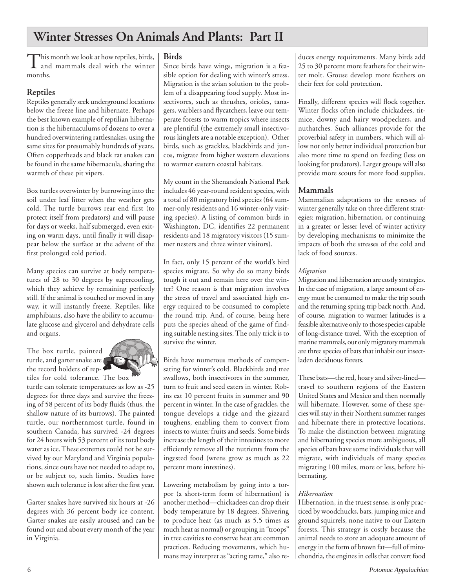# **Winter Stresses On Animals And Plants: Part II**

This month we look at how reptiles, birds,<br>and mammals deal with the winter months.

# **Reptiles**

Reptiles generally seek underground locations below the freeze line and hibernate. Perhaps the best known example of reptilian hibernation is the hibernaculums of dozens to over a hundred overwintering rattlesnakes, using the same sites for presumably hundreds of years. Often copperheads and black rat snakes can be found in the same hibernacula, sharing the warmth of these pit vipers.

Box turtles overwinter by burrowing into the soil under leaf litter when the weather gets cold. The turtle burrows rear end first (to protect itself from predators) and will pause for days or weeks, half submerged, even exiting on warm days, until finally it will disappear below the surface at the advent of the first prolonged cold period.

Many species can survive at body temperatures of 28 to 30 degrees by supercooling, which they achieve by remaining perfectly still. If the animal is touched or moved in any way, it will instantly freeze. Reptiles, like amphibians, also have the ability to accumulate glucose and glycerol and dehydrate cells and organs.

The box turtle, painted turtle, and garter snake are the record holders of reptiles for cold tolerance. The box



turtle can tolerate temperatures as low as -25 degrees for three days and survive the freezing of 58 percent of its body fluids (thus, the shallow nature of its burrows). The painted turtle, our northernmost turtle, found in southern Canada, has survived -24 degrees for 24 hours with 53 percent of its total body water as ice. These extremes could not be survived by our Maryland and Virginia populations, since ours have not needed to adapt to, or be subject to, such limits. Studies have shown such tolerance is lost after the first year.

Garter snakes have survived six hours at -26 degrees with 36 percent body ice content. Garter snakes are easily aroused and can be found out and about every month of the year in Virginia.

### **Birds**

Since birds have wings, migration is a feasible option for dealing with winter's stress. Migration is the avian solution to the problem of a disappearing food supply. Most insectivores, such as thrushes, orioles, tanagers, warblers and flycatchers, leave our temperate forests to warm tropics where insects are plentiful (the extremely small insectivorous kinglets are a notable exception). Other birds, such as grackles, blackbirds and juncos, migrate from higher western elevations to warmer eastern coastal habitats.

My count in the Shenandoah National Park includes 46 year-round resident species, with a total of 80 migratory bird species (64 summer-only residents and 16 winter-only visiting species). A listing of common birds in Washington, DC, identifies 22 permanent residents and 18 migratory visitors (15 summer nesters and three winter visitors).

In fact, only 15 percent of the world's bird species migrate. So why do so many birds tough it out and remain here over the winter? One reason is that migration involves the stress of travel and associated high energy required to be consumed to complete the round trip. And, of course, being here puts the species ahead of the game of finding suitable nesting sites. The only trick is to survive the winter.

Birds have numerous methods of compensating for winter's cold. Blackbirds and tree swallows, both insectivores in the summer, turn to fruit and seed eaters in winter. Robins eat 10 percent fruits in summer and 90 percent in winter. In the case of grackles, the tongue develops a ridge and the gizzard toughens, enabling them to convert from insects to winter fruits and seeds. Some birds increase the length of their intestines to more efficiently remove all the nutrients from the ingested food (wrens grow as much as 22 percent more intestines).

Lowering metabolism by going into a torpor (a short-term form of hibernation) is another method—chickadees can drop their body temperature by 18 degrees. Shivering to produce heat (as much as 5.5 times as much heat as normal) or grouping in "troops" in tree cavities to conserve heat are common practices. Reducing movements, which humans may interpret as "acting tame," also reduces energy requirements. Many birds add 25 to 30 percent more feathers for their winter molt. Grouse develop more feathers on their feet for cold protection.

Finally, different species will flock together. Winter flocks often include chickadees, titmice, downy and hairy woodpeckers, and nuthatches. Such alliances provide for the proverbial safety in numbers, which will allow not only better individual protection but also more time to spend on feeding (less on looking for predators). Larger groups will also provide more scouts for more food supplies.

# **Mammals**

Mammalian adaptations to the stresses of winter generally take on three different strategies: migration, hibernation, or continuing in a greater or lesser level of winter activity by developing mechanisms to minimize the impacts of both the stresses of the cold and lack of food sources.

### *Migration*

Migration and hibernation are costly strategies. In the case of migration, a large amount of energy must be consumed to make the trip south and the returning spring trip back north. And, of course, migration to warmer latitudes is a feasible alternative only to those species capable of long-distance travel. With the exception of marine mammals, our only migratory mammals are three species of bats that inhabit our insectladen deciduous forests.

These bats—the red, hoary and silver-lined travel to southern regions of the Eastern United States and Mexico and then normally will hibernate. However, some of these species will stay in their Northern summer ranges and hibernate there in protective locations. To make the distinction between migrating and hibernating species more ambiguous, all species of bats have some individuals that will migrate, with individuals of many species migrating 100 miles, more or less, before hibernating.

# *Hibernation*

Hibernation, in the truest sense, is only practiced by woodchucks, bats, jumping mice and ground squirrels, none native to our Eastern forests. This strategy is costly because the animal needs to store an adequate amount of energy in the form of brown fat—full of mitochondria, the engines in cells that convert food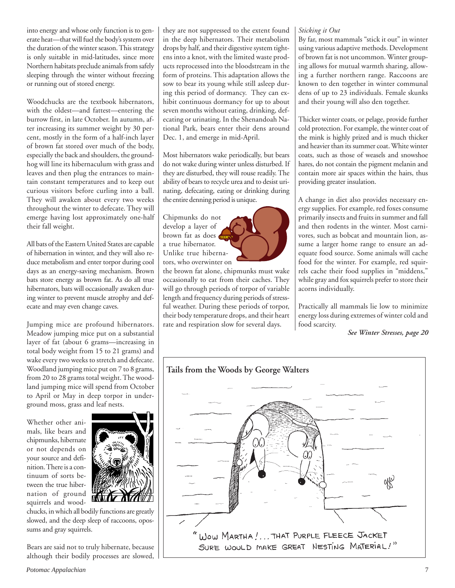into energy and whose only function is to generate heat—that will fuel the body's system over the duration of the winter season. This strategy is only suitable in mid-latitudes, since more Northern habitats preclude animals from safely sleeping through the winter without freezing or running out of stored energy.

Woodchucks are the textbook hibernators, with the oldest—and fattest—entering the burrow first, in late October. In autumn, after increasing its summer weight by 30 percent, mostly in the form of a half-inch layer of brown fat stored over much of the body, especially the back and shoulders, the groundhog will line its hibernaculum with grass and leaves and then plug the entrances to maintain constant temperatures and to keep out curious visitors before curling into a ball. They will awaken about every two weeks throughout the winter to defecate. They will emerge having lost approximately one-half their fall weight.

All bats of the Eastern United States are capable of hibernation in winter, and they will also reduce metabolism and enter torpor during cool days as an energy-saving mechanism. Brown bats store energy as brown fat. As do all true hibernators, bats will occasionally awaken during winter to prevent muscle atrophy and defecate and may even change caves.

Jumping mice are profound hibernators. Meadow jumping mice put on a substantial layer of fat (about 6 grams—increasing in total body weight from 15 to 21 grams) and wake every two weeks to stretch and defecate. Woodland jumping mice put on 7 to 8 grams, from 20 to 28 grams total weight. The woodland jumping mice will spend from October to April or May in deep torpor in underground moss, grass and leaf nests.

Whether other animals, like bears and chipmunks, hibernate or not depends on your source and definition. There is a continuum of sorts between the true hibernation of ground squirrels and wood-



chucks, in which all bodily functions are greatly slowed, and the deep sleep of raccoons, opossums and gray squirrels.

Bears are said not to truly hibernate, because although their bodily processes are slowed, they are not suppressed to the extent found in the deep hibernators. Their metabolism drops by half, and their digestive system tightens into a knot, with the limited waste products reprocessed into the bloodstream in the form of proteins. This adaptation allows the sow to bear its young while still asleep during this period of dormancy. They can exhibit continuous dormancy for up to about seven months without eating, drinking, defecating or urinating. In the Shenandoah National Park, bears enter their dens around Dec. 1, and emerge in mid-April.

Most hibernators wake periodically, but bears do not wake during winter unless disturbed. If they are disturbed, they will rouse readily. The ability of bears to recycle urea and to desist urinating, defecating, eating or drinking during the entire denning period is unique.

Chipmunks do not develop a layer of brown fat as does a true hibernator. Unlike true hibernators, who overwinter on

the brown fat alone, chipmunks must wake occasionally to eat from their caches. They will go through periods of torpor of variable length and frequency during periods of stressful weather. During these periods of torpor, their body temperature drops, and their heart rate and respiration slow for several days.

## *Sticking it Out*

By far, most mammals "stick it out" in winter using various adaptive methods. Development of brown fat is not uncommon. Winter grouping allows for mutual warmth sharing, allowing a further northern range. Raccoons are known to den together in winter communal dens of up to 23 individuals. Female skunks and their young will also den together.

Thicker winter coats, or pelage, provide further cold protection. For example, the winter coat of the mink is highly prized and is much thicker and heavier than its summer coat. White winter coats, such as those of weasels and snowshoe hares, do not contain the pigment melanin and contain more air spaces within the hairs, thus providing greater insulation.

A change in diet also provides necessary energy supplies. For example, red foxes consume primarily insects and fruits in summer and fall and then rodents in the winter. Most carnivores, such as bobcat and mountain lion, assume a larger home range to ensure an adequate food source. Some animals will cache food for the winter. For example, red squirrels cache their food supplies in "middens," while gray and fox squirrels prefer to store their acorns individually.

Practically all mammals lie low to minimize energy loss during extremes of winter cold and food scarcity.

*See Winter Stresses, page 20*

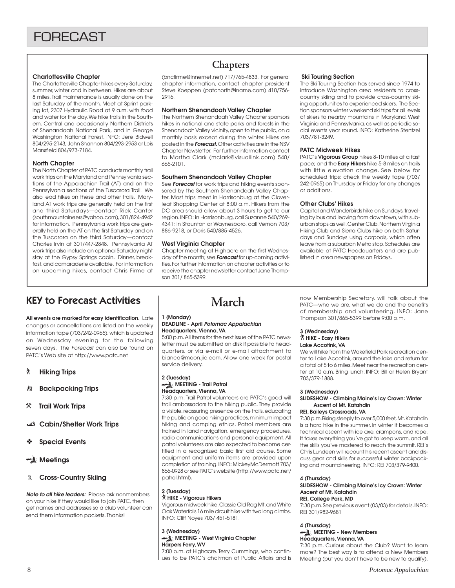#### **Charlottesville Chapter**

The Charlottesville Chapter hikes every Saturday, summer, winter and in between. Hikes are about 8 miles. Trail maintenance is usually done on the last Saturday of the month. Meet at Sprint parking lot, 2307 Hydraulic Road at 9 a.m. with food and water for the day. We hike trails in the Southern, Central and occasionally Northern Districts of Shenandoah National Park, and in George Washington National Forest. INFO: Jere Bidwell 804/295-2143, John Shannon 804/293-2953 or Lois Mansfield 804/973-7184.

#### **North Chapter**

The North Chapter of PATC conducts monthly trail work trips on the Maryland and Pennsylvania sections of the Appalachian Trail (AT) and on the Pennsylvania sections of the Tuscarora Trail. We also lead hikes on these and other trails. Maryland AT work trips are generally held on the first and third Saturdays—contact Rick Canter (southmountaineers@yahoo.com), 301/824-4942 for information. Pennsylvania work trips are generally held on the AT on the first Saturday and on the Tuscarora on the third Saturday—contact Charles Irvin at 301/447-2848. Pennsylvania AT work trips also include an optional Saturday night stay at the Gypsy Springs cabin. Dinner, breakfast, and camaraderie available. For information on upcoming hikes, contact Chris Firme at

# **Chapters**

(bncfirme@innernet.net) 717/765-4833. For general chapter information, contact chapter president Steve Koeppen (patcnorth@iname.com) 410/756- 2916.

#### **Northern Shenandoah Valley Chapter**

The Northern Shenandoah Valley Chapter sponsors hikes in national and state parks and forests in the Shenandoah Valley vicinity, open to the public, on a monthly basis except during the winter. Hikes are posted in the **Forecast.** Other activities are in the NSV Chapter Newsletter. For further information contact to Martha Clark (mclark@visuallink.com) 540/ 665-2101.

#### **Southern Shenandoah Valley Chapter**

See **Forecast** for work trips and hiking events sponsored by the Southern Shenandoah Valley Chapter. Most trips meet in Harrisonburg at the Cloverleaf Shopping Center at 8:00 a.m. Hikers from the DC area should allow about 3 hours to get to our region. INFO: in Harrisonburg, call Suzanne 540/269- 4341; in Staunton or Waynesboro, call Vernon 703/ 886-9218, or Doris 540/885-4526.

#### **West Virginia Chapter**

Chapter meeting at Highacre on the first Wednesday of the month; see **Forecast** for up-coming activities. For further information on chapter activities or to receive the chapter newsletter contact Jane Thompson 301/ 865-5399.

#### **Ski Touring Section**

The Ski Touring Section has served since 1974 to introduce Washington area residents to crosscountry skiing and to provide cross-country skiing opportunities to experienced skiers. The Section sponsors winter weekend ski trips for all levels of skiers to nearby mountains in Maryland, West Virginia and Pennsylvania, as well as periodic social events year round. INFO: Katherine Stentzel 703/781-3249.

#### **PATC Midweek Hikes**

PATC's **Vigorous Group** hikes 8-10 miles at a fast pace; and the **Easy Hikers** hike 5-8 miles on trails with little elevation change. See below for scheduled trips; check the weekly tape (703/ 242-0965) on Thursday or Friday for any changes or additions.

#### **Other Clubs' Hikes**

Capital and Wanderbirds hike on Sundays, traveling by bus and leaving from downtown, with suburban stops as well. Center Club, Northern Virginia Hiking Club and Sierra Clubs hike on both Saturdays and Sundays using carpools, which often leave from a suburban Metro stop. Schedules are available at PATC Headquarters and are published in area newspapers on Fridays.

# KEY to Forecast Activities

**All events are marked for easy identification.** Late changes or cancellations are listed on the weekly information tape (703/242-0965), which is updated on Wednesday evening for the following seven days. The Forecast can also be found on PATC's Web site at http://www.patc.net

#### ` **Hiking Trips**

- **然 Backpacking Trips**
- } **Trail Work Trips**
- **Cabin/Shelter Work Trips**
- ❖ **Special Events**

### **Meetings**

#### **Cross-Country Skiing**

**Note to all hike leaders:** Please ask nonmembers on your hike if they would like to join PATC, then get names and addresses so a club volunteer can send them information packets. Thanks!

# **March**

#### **1 (Monday) DEADLINE - April Potomac Appalachian**

**Headquarters, Vienna, VA** 5:00 p.m. All items for the next issue of the PATC newsletter must be submitted on disk if possible to headquarters, or via e-mail or e-mail attachment to bianca@moon.jic.com. Allow one week for postal service delivery.

#### **2 (Tuesday) MEETING - Trail Patrol**

#### **Headquarters, Vienna, VA**

7:30 p.m. Trail Patrol volunteers are PATC's good will trail ambassadors to the hiking public. They provide a visible, reassuring presence on the trails, educating the public on good hiking practices, minimum impact hiking and camping ethics. Patrol members are trained in land navigation, emergency procedures, radio communications and personal equipment. All patrol volunteers are also expected to become certified in a recognized basic first aid course. Some equipment and uniform items are provided upon completion of training. INFO: MickeyMcDermott 703/ 866-0928 or see PATC's website (http://www.patc.net/ patrol.html).

## **2 (Tuesday)**

#### ` **HIKE - Vigorous Hikers** Vigorous midweek hike. Classic Old Rag Mt. and White Oak Waterfalls 16 mile circuit hike with two long climbs. INFO: Cliff Noyes 703/ 451-5181.

#### **3 (Wednesday) MEETING - West Virginia Chapter Harpers Ferry, WV**

7:00 p.m. at Highacre. Terry Cummings, who continues to be PATC's chairman of Public Affairs and is now Membership Secretary, will talk about the PATC—who we are, what we do and the benefits of membership and volunteering. INFO: Jane Thompson 301/865-5399 before 9:00 p.m.

#### **3 (Wednesday)** ` **HIKE - Easy Hikers**

#### **Lake Accotink, VA**

We will hike from the Wakefield Park recreation center to Lake Accotink, around the lake and return for a total of 5 to 6 miles. Meet near the recreation center at 10 a.m. Bring lunch. INFO: Bill or Helen Bryant 703/379-1888.

#### **3 (Wednesday)**

#### **SLIDESHOW - Climbing Maine's Icy Crown: Winter Ascent of Mt. Katahdin**

#### **REI, Baileys Crossroads, VA**

7:30 p.m. Rising steeply to over 5,000 feet, Mt. Katahdin is a hard hike in the summer. In winter it becomes a technical ascent with ice axe, crampons, and rope. It takes everything you've got to keep warm, and all the skills you've mastered to reach the summit. REI's Chris Lundeen will recount his recent ascent and discuss gear and skills for successful winter backpacking and mountaineering. INFO: REI 703/379-9400.

#### **4 (Thursday)**

#### **SLIDESHOW - Climbing Maine's Icy Crown: Winter Ascent of Mt. Katahdin REI, College Park, MD**

7:30 p.m. See previous event (03/03) for details. INFO: REI 301/982-9681

#### **4 (Thursday)**

#### **MEETING - New Members Headquarters, Vienna, VA**

7:30 p.m. Curious about the Club? Want to learn more? The best way is to attend a New Members Meeting (but you don't have to be new to qualify).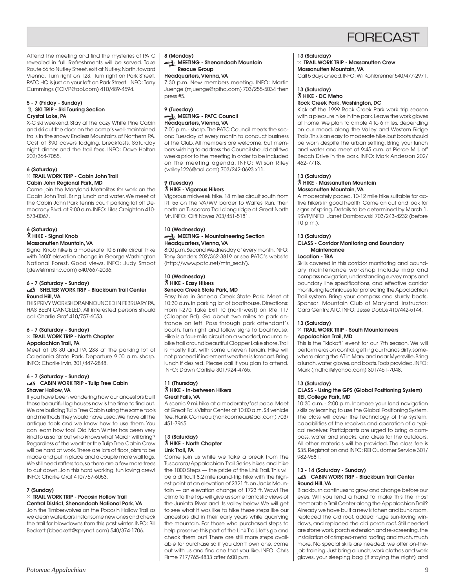

Attend the meeting and find the mysteries of PATC revealed in full. Refreshments will be served. Take Route 66 to Nutley Street, exit at Nutley, North, toward Vienna. Turn right on 123. Turn right on Park Street. PATC HQ is just on your left on Park Street. INFO: Terry Cummings (TCIVP@aol.com) 410/489-4594.

#### **5 - 7 (Friday - Sunday) SKI TRIP - Ski Touring Section Crystal Lake, PA**

X-C ski weekend. Stay at the cozy White Pine Cabin and ski out the door on the camp's well-maintained trails in the snowy Endless Mountains of Northern PA. Cost of \$90 covers lodging, breakfasts, Saturday night dinner and the trail fees. INFO: Dave Holton 202/364-7055.

#### **6 (Saturday)** } **TRAIL WORK TRIP - Cabin John Trail Cabin John Regional Park, MD**

Come join the Maryland Metrolites for work on the Cabin John Trail. Bring lunch and water. We meet at the Cabin John Park tennis court parking lot off Democracy Blvd. at 9:00 a.m. INFO: Liles Creighton 410- 573-0067.

#### **6 (Saturday)** ` **HIKE - Signal Knob Massanutten Mountain, VA**

Signal Knob hike is a moderate 10.6 mile circuit hike with 1600' elevation change in George Washington National Forest. Good views. INFO: Judy Smoot (dew@mnsinc.com) 540/667-2036.

#### **6 - 7 (Saturday - Sunday) SHELTER WORK TRIP - Blackburn Trail Center**

**Round Hill, VA**

THIS PRIVY WORKSHOP, ANNOUNCED IN FEBRUARY PA, HAS BEEN CANCELED. All interested persons should call Charlie Graf 410/757-6053.

#### **6 - 7 (Saturday - Sunday)** } **TRAIL WORK TRIP - North Chapter Appalachian Trail, PA**

Meet at US 30 and PA 233 at the parking lot of Caledonia State Park. Departure 9:00 a.m. sharp. INFO: Charlie Irvin, 301/447-2848.

#### **6 - 7 (Saturday - Sunday) CABIN WORK TRIP - Tulip Tree Cabin Shaver Hollow, VA**

If you have been wondering how our ancestors built those beautiful log houses now is the time to find out. We are building Tulip Tree Cabin using the same tools and methods they would have used. We have all the antique tools and we know how to use them. You can learn how too! Old Man Winter has been very kind to us so far but who knows what March will bring? Regardless of the weather the Tulip Tree Cabin Crew will be hard at work. There are lots of floor joists to be made and put in place and a couple more wall logs. We still need rafters too, so there are a few more trees to cut down. Join this hard working, fun loving crew! INFO: Charlie Graf 410/757-6053.

#### **7 (Sunday)**

#### } **TRAIL WORK TRIP - Pocosin Hollow Trail Central District, Shenandoah National Park, VA**

Join the Timberwolves on the Pocosin Hollow Trail as we clean waterbars, install some new ones and check the trail for blowdowns from this past winter. INFO: Bill Beckett (bbeckett@sprynet.com) 540/374-1706.

#### **8 (Monday)**

**MEETING - Shenandoah Mountain Rescue Group**

#### **Headquarters, Vienna, VA**

7:30 p.m. New members meeting. INFO: Martin Juenge (mjuenge@rpihq.com) 703/255-5034 then press #5.

#### **9 (Tuesday) MEETING - PATC Council Headquarters, Vienna, VA**

7:00 p.m. - sharp. The PATC Council meets the second Tuesday of every month to conduct business of the Club. All members are welcome, but members wishing to address the Council should call two weeks prior to the meeting in order to be included on the meeting agenda. INFO: Wilson Riley (wriley1226@aol.com) 703/242-0693 x11.

#### **9 (Tuesday)** ` **HIKE - Vigorous Hikers**

Vigorous midweek hike. 18 miles circuit south from Rt. 55 on the VA/WV border to Waites Run, then north on Tuscorora Trail along ridge of Great North Mt. INFO: Cliff Noyes 703/451-5181.

#### **10 (Wednesday) MEETING - Mountaineering Section Headquarters, Vienna, VA**

8:00 p.m. Second Wednesday of every month. INFO: Tony Sanders 202/362-3819 or see PATC's website (http://www.patc.net/mtn\_sect/).

#### **10 (Wednesday)** ` **HIKE - Easy Hikers Seneca Creek State Park, MD**

Easy hike in Seneca Creek State Park. Meet at 10:30 a.m. in parking lot of boathouse. Directions: From I-270, take Exit 10 (northwest) on Rte 117 (Clopper Rd). Go about two miles to park entrance on left. Pass through park attendant's booth, turn right and follow signs to boathouse. Hike is a four-mile circuit on a wooded, mountainbike trail around beautiful Clopper Lake shore. Trail is mostly flat, with some uneven terrain. Hike will not proceed if inclement weather is forecast. Bring lunch if desired. Please call if you plan to attend. INFO: Dawn Carlisle 301/924-4765.

#### **11 (Thursday)** ` **HIKE - In-between Hikers Great Falls, VA**

A scenic 9 mi. hike at a moderate/fast pace. Meet at Great Falls Visitor Center at 10:00 a.m. \$4 vehicle fee. Hank Comeau (hankcomeau@aol.com) 703/ 451-7965.

#### **13 (Saturday)** ` **HIKE - North Chapter Link Trail, PA**

Come join us while we take a break from the Tuscarora/Appalachian Trail Series hikes and hike the 1000 Steps — the pride of the Link Trail. This will be a difficult 8.2 mile round-trip hike with the highest point at an elevation of 2321 ft. on Jacks Mountain — an elevation change of 1723 ft. Wow! The climb to the top will give us some fantastic views of the Juniata River and its valley below. We will get to see what it was like to hike these steps like our ancestors did in their early years while quarrying the mountain. For those who purchased steps to help preserve this part of the Link Trail, let's go and check them out! There are still more steps available for purchase so if you don't own one, come out with us and find one that you like. INFO: Chris Firme 717/765-4833 after 6:00 p.m.

### **13 (Saturday)**

#### } **TRAIL WORK TRIP - Massanutten Crew Massanutten Mountain, VA**

Call 5 days ahead. INFO: Wil Kohlbrenner 540/477-2971.

#### **13 (Saturday)** ` **HIKE - DC Metro**

#### **Rock Creek Park, Washington, DC**

Kick off the 1999 Rock Creek Park work trip season with a pleasure hike in the park. Leave the work gloves at home. We plan to amble 4 to 6 miles, depending on our mood, along the Valley and Western Ridge Trails. This is an easy to moderate hike, but boots should be worn despite the urban setting. Bring your lunch and water and meet at 9:45 a.m. at Pierce Mill, off Beach Drive in the park. INFO: Mark Anderson 202/ 462-7718.

#### **13 (Saturday)** ` **HIKE - Massanutten Mountain Massanutten Mountain, VA**

A moderately paced, 10-12 mile hike suitable for active hikers in good health. Come on out and look for signs of spring. Details to be determined by March 1. RSVP/INFO: Janet Dombrowski 703/243-4232 (before 10 p.m.).

#### **13 (Saturday)**

#### **CLASS - Corridor Monitoring and Boundary Maintenance**

#### **Location - TBA**

Skills covered in this corridor monitoring and boundary maintenance workshop include map and compass navigation, understanding survey maps and boundary line specifications, and effective corridor monitoring techniques for protecting the Appalachian Trail system. Bring your compass and sturdy boots. Sponsor: Mountain Club of Maryland. Instructor: Cara Gentry, ATC. INFO: Jesse Dobbs 410/442-5144.

#### **13 (Saturday)**

#### } **TRAIL WORK TRIP - South Mountaineers Appalachian Trail, MD**

This is the "kickoff" event for our 7th season. We will perform erosion control, getting our hands dirty, somewhere along the AT in Maryland near Myersville. Bring a lunch, water, gloves, and boots. Tools provided. INFO: Mark (mdtrail@yahoo.com) 301/461-7048.

#### **13 (Saturday)**

#### **CLASS - Using the GPS (Global Positioning System) REI, College Park, MD**

10:30 a.m. - 2:00 p.m. Increase your land navigation skills by learning to use the Global Positioning System. The class will cover the technology of the system, capabilities of the receiver, and operation of a typical receiver. Participants are urged to bring a compass, water and snacks, and dress for the outdoors. All other materials will be provided. The class fee is \$35. Registration and INFO: REI Customer Service 301/ 982-9681.

#### **13 - 14 (Saturday - Sunday) CABIN WORK TRIP - Blackburn Trail Center Round Hill, VA**

Blackburn continues to grow and change before our eyes. Will you lend a hand to make this the most memorable Trail Center along the Appalachian Trail? Already we have built a new kitchen and bunk room, replaced the old roof, added huge sun-loving windows, and replaced the old porch roof. Still needed are stone work, porch extension and re-screening, the installation of crimped-metal roofing and much, much more. No special skills are needed; we offer on-thejob training. Just bring a lunch, work clothes and work gloves, your sleeping bag (if staying the night) and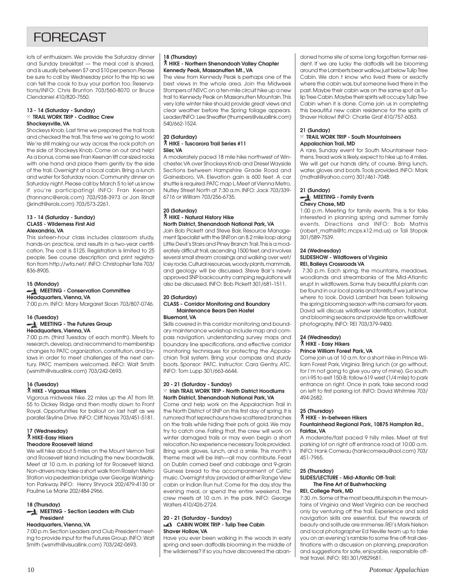# **FORFCAST**

lots of enthusiasm. We provide the Saturday dinner and Sunday breakfast — the meal cost is shared, and is usually between \$7 and \$10 per person. Please be sure to call by Wednesday prior to the trip so we can tell the cook to buy your portion too. Reservations/INFO: Chris Brunton 703/560-8070 or Bruce Clendaniel 410/820-7550.

#### **13 - 14 (Saturday - Sunday)** } **TRAIL WORK TRIP - Cadillac Crew Shockeysville, VA**

Shockeys Knob. Last time we prepared the trail tools and checked the trail. This time we're going to work! We're still making our way across the rock patch on the side of Shockeys Knob. Come on out and help! As a bonus, come see Fran Keenan lift car-sized rocks with one hand and place them gently by the side of the trail. Overnight at a local cabin. Bring a lunch and water for Saturday noon. Community dinner on Saturday night. Please call by March 5 to let us know if you're participating! INFO: Fran Keenan (frannanc@erols.com) 703/938-3973 or Jon Rindt (jkrindt@erols.com) 703/573-2261.

#### **13 - 14 (Saturday - Sunday) CLASS - Wilderness First Aid Alexandria, VA**

This sixteen-hour class includes classroom study, hands-on practice, and results in a two-year certification. The cost is \$125. Registration is limited to 25 people. See course description and print registration from http://wfa.net/. INFO: Christopher Tate 703/ 836-8905.

#### **15 (Monday)**

### **MEETING - Conservation Committee Headquarters, Vienna, VA**

7:00 p.m. INFO: Mary Margaret Sloan 703/807-0746.

#### **16 (Tuesday) MEETING - The Futures Group**

# **Headquarters, Vienna, VA**

7:00 p.m. (third Tuesday of each month). Meets to research, develop, and recommend to membership changes to PATC organization, constitution, and bylaws in order to meet challenges of the next century. PATC members welcomed. INFO: Walt Smith (wsmith@visuallink.com) 703/242-0693.

### **16 (Tuesday)**

#### ` **HIKE - Vigorous Hikers**

Vigorous midweek hike. 22 miles up the AT from Rt. 55 to Dickey Ridge and then mostly down to Front Royal. Opportunities for bailout on last half as we parallel Skyline Drive. INFO: Cliff Noyes 703/451-5181.

#### **17 (Wednesday)** ` **HIKE-Easy Hikers Theodore Roosevelt Island**

We will hike about 5 miles on the Mount Vernon Trail and Roosevelt Island including the new boardwalk. Meet at 10 a.m. in parking lot for Roosevelt Island. Non-drivers may take a short walk from Rosslyn Metro Station via pedestrian bridge over George Washington Parkway. INFO: Henry Shryock 202/479-4130 or Pauline Le Marie 202/484-2966.

#### **18 (Thursday)**

#### **MEETING - Section Leaders with Club President**

#### **Headquarters, Vienna, VA**

7:00 p.m. Section Leaders and Club President meeting to provide input for the Futures Group. INFO: Walt Smith (wsmith@visuallink.com) 703/242-0693.

### **18 (Thursday)**

#### ` **HIKE - Northern Shenandoah Valley Chapter Kennedy Peak, Massanutten Mt., VA**

The view from Kennedy Peak is perhaps one of the best views in the whole area. Join the Midweek Stompers of NSVC on a ten-mile circuit hike up a new trail to Kennedy Peak on Massanutten Mountain. This very late winter hike should provide great views and clear weather before the Spring foliage appears. Leader/INFO: Lee Sheaffer (thumpers@visuallink.com) 540/662-1524.

#### **20 (Saturday)** ` **HIKE - Tuscarora Trail Series #11 Siler, VA**

A moderately paced 18 mile hike northwest of Winchester, VA over Shockeys Knob and Dresel Wayside Sections between Hampshire Grade Road and Gainesboro, VA. Elevation gain is 600 feet. A car shuttle is required. PATC map L. Meet at Vienna Metro, Nutley Street North at 7:30 a.m. INFO: Jack 703/339- 6716 or William 703/256-6735.

#### **20 (Saturday)** ` **HIKE - Natural History Hike North District, Shenandoah National Park, VA**

Join Bob Pickett and Steve Bair, Resource Management Specialist with the SNP, on an 8.2 mile loop along Little Devil's Stairs and Piney Branch Trail. This is a moderately difficult trail, ascending 1500 feet, and involves several small stream crossings and walking over wet/ icey rocks. Cultural resources, woody plants, mammals, and geology will be discussed. Steve Bair's newly approved SNP backcountry camping regulations will also be discussed. INFO: Bob Pickett 301/681-1511.

#### **20 (Saturday) CLASS - Corridor Monitoring and Boundary Maintenance Bears Den Hostel**

#### **Bluemont, VA**

Skills covered in this corridor monitoring and boundary maintenance workshop include map and compass navigation, understanding survey maps and boundary line specifications, and effective corridor monitoring techniques for protecting the Appalachian Trail system. Bring your compass and sturdy boots. Sponsor: PATC. Instructor: Cara Gentry, ATC. INFO: Tom Lupp 301/663-6644.

#### **20 - 21 (Saturday - Sunday)** } **Irish TRAIL WORK TRIP - North District Hoodlums North District, Shenandoah National Park, VA**

Come and help work on the Appalachian Trail in the North District of SNP on this first day of spring. It is rumored that leprechauns have scattered branches on the trails while hiding their pots of gold. We may try to catch one. Failing that, the crew will work on winter damaged trails or may even begin a short relocation. No experience necessary. Tools provided. Bring work gloves, lunch, and a smile. This month's theme meal will be Irish—all may contribute. Feast on Dublin corned beef and cabbage and 9-grain Guiness bread to the accompaniment of Celtic music. Overnight stay provided at either Range View cabin or Indian Run hut. Come for the day, stay the evening meal, or spend the entire weekend. The crew meets at 10 a.m. in the park. INFO: George Walters 410/426-2724.

#### **20 - 21 (Saturday - Sunday) CABIN WORK TRIP - Tulip Tree Cabin Shaver Hollow, VA**

Have you ever been walking in the woods in early spring and seen daffodils blooming in the middle of the wilderness? If so you have discovered the abandoned home site of some long forgotten former resident. If we are lucky the daffodils will be blooming around the Lamberts bear wallow, just below Tulip Tree Cabin. We don t know who lived there or exactly where the cabin was, but someone lived there in the past. Maybe their cabin was on the same spot as Tulip Tree Cabin. Maybe their spirits will occupy Tulip Tree Cabin when it is done. Come join us in completing this beautiful new cabin residence for the spirits of Shaver Hollow! INFO: Charlie Graf 410/757-6053.

#### **21 (Sunday)** } **TRAIL WORK TRIP - South Mountaineers Appalachian Trail, MD**

A rare, Sunday event for South Mountaineer heathens. Tread work is likely, expect to hike up to 4 miles. We will get our hands dirty, of course. Bring lunch, water, gloves and boots. Tools provided. INFO: Mark (mdtrail@yahoo.com) 301/461-7048.

#### **21 (Sunday) MEETING - Family Events Chevy Chase, MD**

1:00 p.m. Meeting for family events. This is for folks interested in planning spring and summer family events. Directions and INFO: Bob Mathis (robert\_mathis@fc.mcps.k12.md.us) or Tali Stopak 301/589-7539.

#### **24 (Wednesday) SLIDESHOW - Wildflowers of Virginia REI, Baileys Crossroads VA**

 7:30 p.m. Each spring, the mountains, meadows, woodlands and streambanks of the Mid-Atlantic erupt in wildflowers. Some truly beautiful plants can be found in our local parks and forests, if we just know where to look. David Lambert has been following the spring blooming season with his camera for years. David will discuss wildflower identification, habitat, and blooming seasons and provide tips on wildflower photography. INFO: REI 703/379-9400.

#### **24 (Wednesday)** ` **HIKE - Easy Hikers**

#### **Prince William Forest Park, VA**

Come join us at 10 a.m. for a short hike in Prince William Forest Park, Virginia. Bring lunch (or go without, for I'm not going to give you any of mine). Go south on I-95 to exit 150-B; follow 619 west (1/4 mile) to park entrance on right. Once in park, take second road on left to first parking lot. INFO: David Whitmire 703/ 494-2682.

### **25 (Thursday)**

#### ` **HIKE - In-between Hikers Fountainhead Regional Park, 10875 Hampton Rd., Fairfax, VA**

A moderate/fast paced 9 hilly miles. Meet at first parking lot on right off entrance road at 10:00 a.m. INFO: Hank Comeau (hankcomeau@aol.com) 703/ 451-7965.

#### **25 (Thursday)**

#### **SLIDES/LECTURE - Mid-Atlantic Off-Trail: The Fine Art of Bushwhacking**

**REI, College Park, MD**

7:30 .m. Some of the most beautiful spots in the mountains of Virginia and West Virginia can be reached only by venturing off the trail. Experience and solid navigation skills are essential, but the rewards of beauty and solitude are immense. REI's Mark Nelson and local photographer Ed Neville team up to take you on an evening's ramble to some fine off-trail destinations with a discussion on planning, preparation and suggestions for safe, enjoyable, responsible offtrail travel. INFO: REI 301/9829681.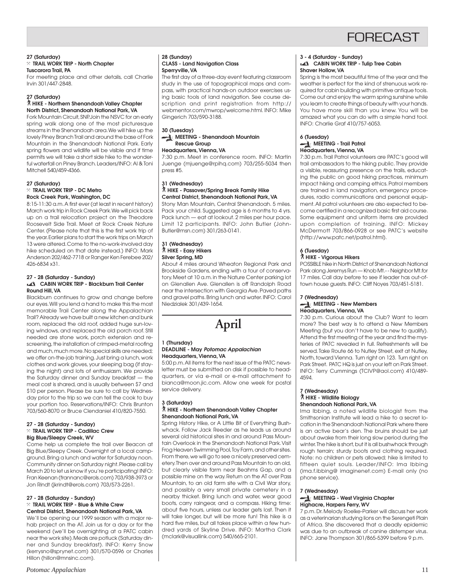

#### **27 (Saturday)** } **TRAIL WORK TRIP - North Chapter Tuscarora Trail, PA**

For meeting place and other details, call Charlie Irvin 301/447-2848.

#### **27 (Saturday)**

#### ` **HIKE - Northern Shenandoah Valley Chapter North District, Shenandoah National Park, VA**

Fork Mountain Circuit, SNP. Join the NSVC for an early spring walk along one of the most picturesque streams in the Shenandoah area. We will hike up the lovely Piney Branch Trail and around the base of Fork Mountain in the Shenandoah National Park. Early spring flowers and wildlife will be visible and if time permits we will take a short side hike to the wonderful waterfall on Piney Branch. Leaders/INFO: Al & Toni Mitchell 540/459-4366.

#### **27 (Saturday)**

} **TRAIL WORK TRIP - DC Metro Rock Creek Park, Washington, DC**

8:15-11:30 a.m. A first ever (at least in recent history) March work trip in Rock Creek Park. We will pick back up on a trail relocation project on the Theodore Roosevelt Side Trail. Meet at Rock Creek Nature Center. (Please note that this is the first work trip of the year. Earlier plans to start the work trips on March 13 were altered. Come to the no-work-involved day hike scheduled on that date instead.) INFO: Mark Anderson 202/462-7718 or Ranger Ken Ferebee 202/ 426-6834 x31.

#### **27 - 28 (Saturday - Sunday) CABIN WORK TRIP - Blackburn Trail Center Round Hill, VA**

Blackburn continues to grow and change before our eyes. Will you lend a hand to make this the most memorable Trail Center along the Appalachian Trail? Already we have built a new kitchen and bunk room, replaced the old roof, added huge sun-loving windows, and replaced the old porch roof. Still needed are stone work, porch extension and rescreening, the installation of crimped-metal roofing and much, much more. No special skills are needed; we offer on-the-job training. Just bring a lunch, work clothes and work gloves, your sleeping bag (if staying the night) and lots of enthusiasm. We provide the Saturday dinner and Sunday breakfast — the meal cost is shared, and is usually between \$7 and \$10 per person. Please be sure to call by Wednesday prior to the trip so we can tell the cook to buy your portion too. Reservations/INFO: Chris Brunton 703/560-8070 or Bruce Clendaniel 410/820-7550.

#### **27 - 28 (Saturday - Sunday)** } **TRAIL WORK TRIP - Cadillac Crew Big Blue/Sleepy Creek, WV**

Come help us complete the trail over Beacon at Big Blue/Sleepy Creek. Overnight at a local campground. Bring a lunch and water for Saturday noon. Community dinner on Saturday night. Please call by March 20 to let us know if you're participating! INFO: Fran Keenan (frannanc@erols.com) 703/938-3973 or Jon Rindt (jkrindt@erols.com) 703/573-2261.

#### **27 - 28 (Saturday - Sunday)** } **TRAIL WORK TRIP - Blue & White Crew Central District, Shenandoah National Park, VA**

We'll be opening our 1999 season with a major rehab project on the AT. Join us for a day or for the weekend (we'll be overnighting at a PATC cabin near the work site). Meals are potluck (Saturday dinner and Sunday breakfast). INFO: Kerry Snow (kerrysno@sprynet.com) 301/570-0596 or Charles Hillon (hillon@mnsinc.com).

#### **28 (Sunday) CLASS - Land Navigation Class Sperryville, VA**

The first day of a three-day event featuring classroom study in the use of topographical maps and compass, with practical hands-on outdoor exercises using basic tools of land navigation. See course description and print registration from http:// webmentor.com/mwrop/welcome.html. INFO: Mike Gingerich 703/590-3188.

#### **30 (Tuesday) MEETING - Shenandoah Mountain Rescue Group**

**Headquarters, Vienna, VA**

7:30 p.m. Meet in conference room. INFO: Martin Juenge (mjuenge@rpihq.com) 703/255-5034 then press #5.

#### **31 (Wednesday)** ` **HIKE - Passover/Spring Break Family Hike Central District, Shenandoah National Park, VA**

Stony Man Mountain, Central Shenandoah. 5 miles. Pack your child. Suggested age is 6 months to 4 yrs. Pack lunch — eat at lookout. 2 miles per hour pace. Limit 12 participants. INFO: John Butler (John-Butler@msn.com) 301/263-0141.

#### **31 (Wednesday)** ` **HIKE - Easy Hikers Silver Spring, MD**

About 4 miles around Wheaton Regional Park and Brookside Gardens, ending with a tour of conservatory. Meet at 10 a.m. in the Nature Center parking lot on Glenallen Ave. Glenallen is off Randolph Road near the intersection with Georgia Ave. Paved paths and gravel paths. Bring lunch and water. INFO: Carol Niedzialek 301/439-1654.

# **April**

#### **1 (Thursday) DEADLINE - May Potomac Appalachian Headquarters, Vienna, VA**

5:00 p.m. All items for the next issue of the PATC newsletter must be submitted on disk if possible to headquarters, or via e-mail or e-mail attachment to bianca@moon.jic.com. Allow one week for postal service delivery.

#### **3 (Saturday)** ` **HIKE - Northern Shenandoah Valley Chapter Shenandoah National Park, VA**

Spring History Hike, or A Little Bit of Everything Bushwhack. Follow Jack Reeder as he leads us around several old historical sites in and around Pass Mountain Overlook in the Shenandoah National Park. Visit Frog Heaven Swimming Pool, Toy Farm, and other sites. From there, we will go to see a nicely preserved cemetery. Then over and around Pass Mountain to an old, but clearly visible farm near Beahms Gap, and a possible mine on the way. Return on the AT over Pass Mountain, to an old farm site with a Civil War story, and possibly a very small private cemetery in a nearby thicket. Bring lunch and water, wear good boots, carry raingear, and a compass. Hiking time: about five hours, unless our leader gets lost. Then it will take longer, but will be more fun! This hike is a hard five miles, but all takes place within a few hundred yards of Skyline Drive. INFO: Martha Clark (mclark@visuallink.com) 540/665-2101.

# **3 - 4 (Saturday - Sunday)**

#### **CABIN WORK TRIP - Tulip Tree Cabin Shaver Hollow, VA**

Spring is the most beautiful time of the year and the weather is perfect for the kind of strenuous work required for cabin building with primitive antique tools. Come out and enjoy the warm spring sunshine while you learn to create things of beauty with your hands. You have more skill than you knew. You will be amazed what you can do with a simple hand tool. INFO: Charlie Graf 410/757-6053.

#### **6 (Tuesday) MEETING - Trail Patrol Headquarters, Vienna, VA**

7:30 p.m. Trail Patrol volunteers are PATC's good will trail ambassadors to the hiking public. They provide a visible, reassuring presence on the trails, educating the public on good hiking practices, minimum impact hiking and camping ethics. Patrol members are trained in land navigation, emergency procedures, radio communications and personal equipment. All patrol volunteers are also expected to become certified in a recognized basic first aid course. Some equipment and uniform items are provided upon completion of training. INFO: Mickey McDermott 703/866-0928 or see PATC's website (http://www.patc.net/patrol.html).

#### **6 (Tuesday)** ` **HIKE - Vigorous Hikers**

POSSIBLE hike in North District of Shenandoah National Park along Jeremys Run — Knob Mt.- - Neighbor Mt.for 17 miles. Call day before to see if leader has out-oftown house guests. INFO: Cliff Noyes 703/451-5181.

#### **7 (Wednesday) MEETING - New Members Headquarters, Vienna, VA**

7:30 p.m. Curious about the Club? Want to learn more? The best way is to attend a New Members Meeting (but you don't have to be new to qualify). Attend the first meeting of the year and find the mysteries of PATC revealed in full. Refreshments will be served. Take Route 66 to Nutley Street, exit at Nutley, North, toward Vienna. Turn right on 123. Turn right on Park Street. PATC HQ is just on your left on Park Street. INFO: Terry Cummings (TCIVP@aol.com) 410/489- 4594.

#### **7 (Wednesday)** ` **HIKE - Wildlife Biology Shenandoah National Park, VA**

Ima Ibbing, a noted wildlife biologist from the Smithsonian Institute will lead a hike to a secret location in the Shenandoah National Park where there is an active bear's den. The bruins should be just about awake from their long slow period during the winter. The hike is short, but it is all bushwhack through rough terrain; sturdy boots and clothing required. Note: no children or pets allowed; hike is limited to fifteen quiet souls. Leader/INFO: Ima Ibbing (ima.f.ibbing@ imaginenet.com) E-mail only (no phone service).

#### **7 (Wednesday) MEETING - West Virginia Chapter Highacre, Harpers Ferry, WV**

7 p.m. Dr. Melody Roelke-Parker will discuss her work as a veterinarian studying lions on the Serengeti Plain of Africa. She discovered that a deadly epidemic was due to an outbreak of canine distemper virus. INFO: Jane Thompson 301/865-5399 before 9 p.m.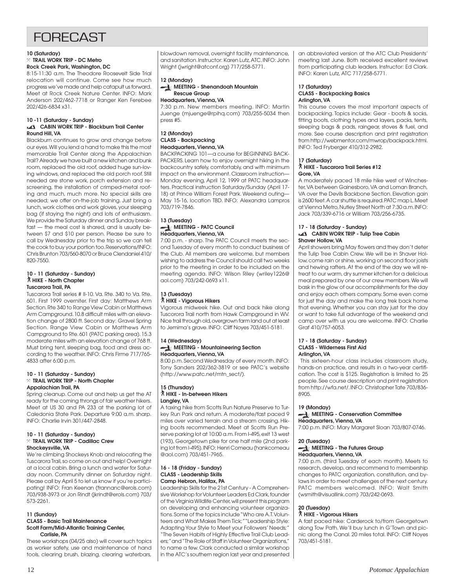# **FORFCAST**

#### **10 (Saturday)**

# } **TRAIL WORK TRIP - DC Metro**

**Rock Creek Park, Washington, DC** 8:15-11:30 a.m. The Theodore Roosevelt Side Trial

relocation will continue. Come see how much progress we've made and help catapult us forward. Meet at Rock Creek Nature Center. INFO: Mark Anderson 202/462-7718 or Ranger Ken Ferebee 202/426-6834 x31.

#### **10 -11 (Saturday - Sunday) CABIN WORK TRIP - Blackburn Trail Center Round Hill, VA**

Blackburn continues to grow and change before our eyes. Will you lend a hand to make this the most memorable Trail Center along the Appalachian Trail? Already we have built a new kitchen and bunk room, replaced the old roof, added huge sun-loving windows, and replaced the old porch roof. Still needed are stone work, porch extension and rescreening, the installation of crimped-metal roofing and much, much more. No special skills are needed; we offer on-the-job training. Just bring a lunch, work clothes and work gloves, your sleeping bag (if staying the night) and lots of enthusiasm. We provide the Saturday dinner and Sunday breakfast — the meal cost is shared, and is usually between \$7 and \$10 per person. Please be sure to call by Wednesday prior to the trip so we can tell the cook to buy your portion too. Reservations/INFO: Chris Brunton 703/560-8070 or Bruce Clendaniel 410/ 820-7550.

#### **10 - 11 (Saturday - Sunday)** ` **HIKE - North Chapter Tuscarora Trail, PA**

Tuscarora Trail series # II-10. Va. Rte. 340 to Va. Rte. 601. First 1999 overniter. First day: Matthews Arm Section. Rte 340 to Range View Cabin or Matthews Arm Campground. 10.8 difficult miles with an elevation change of 2800 ft. Second day: Gravel Spring Section. Range View Cabin or Matthews Arm Campground to Rte. 601 (PATC parking area). 15.3 moderate miles with an elevation change of 768 ft. Must bring tent, sleeping bag, food and dress according to the weather. INFO: Chris Firme 717/765- 4833 after 6:00 p.m.

#### **10 - 11 (Saturday - Sunday)** } **TRAIL WORK TRIP - North Chapter Appalachian Trail, PA**

Spring cleanup. Come out and help us get the AT ready for the coming throngs of fair weather hikers. Meet at US 30 and PA 233 at the parking lot of Caledonia State Park. Departure 9:00 a.m. sharp. INFO: Charlie Irvin 301/447-2848.

#### **10 - 11 (Saturday - Sunday)** } **TRAIL WORK TRIP - Cadillac Crew Shockeysville, VA**

We're climbing Shockeys Knob and relocating the Tuscarora Trail, so come on out and help! Overnight at a local cabin. Bring a lunch and water for Saturday noon. Community dinner on Saturday night. Please call by April 5 to let us know if you're participating! INFO: Fran Keenan (frannanc@erols.com) 703/938-3973 or Jon Rindt (jkrindt@erols.com) 703/ 573-2261.

#### **11 (Sunday) CLASS - Basic Trail Maintenance Scott Farm/Mid-Atlantic Training Center, Carlisle, PA**

These workshops (04/25 also) will cover such topics as worker safety, use and maintenance of hand tools, clearing brush, blazing, clearing waterbars,

blowdown removal, overnight facility maintenance, and sanitation. Instructor: Karen Lutz, ATC. INFO: John Wright (jwright@atconf.org) 717/258-5771.

#### **12 (Monday)**

press #5.

#### **MEETING - Shenandoah Mountain Rescue Group**

**Headquarters, Vienna, VA** 7:30 p.m. New members meeting. INFO: Martin Juenge (mjuenge@rpihq.com) 703/255-5034 then

#### **12 (Monday) CLASS - Backpacking Headquarters, Vienna, VA**

BACKPACKING 101—a course for BEGINNING BACK-PACKERS. Learn how to enjoy overnight hiking in the backcountry safely, comfortably, and with minimum impact on the environment. Classroom instruction— Monday evening, April 12, 1999 at PATC headquarters. Practical instruction Saturday/Sunday (April 17- 18) at Prince William Forest Park. Weekend outing— May 15-16, location TBD. INFO: Alexandra Lampros 703/719-7846.

#### **13 (Tuesday) MEETING - PATC Council Headquarters, Vienna, VA**

7:00 p.m. - sharp. The PATC Council meets the second Tuesday of every month to conduct business of the Club. All members are welcome, but members wishing to address the Council should call two weeks prior to the meeting in order to be included on the meeting agenda. INFO: Wilson Riley (wriley1226@ aol.com) 703/242-0693 x11.

### **13 (Tuesday)**

### ` **HIKE - Vigorous Hikers**

Vigorous midweek hike. Out and back hike along Tuscorora Trail north from Hawk Campground in WV. Nice trail through old, overgrown farm land out at least to Jemima's grave. INFO: Cliff Noyes 703/451-5181.

# **14 (Wednesday)**

#### **MEETING - Mountaineering Section Headquarters, Vienna, VA**

8:00 p.m. Second Wednesday of every month. INFO: Tony Sanders 202/362-3819 or see PATC's website (http://www.patc.net/mtn\_sect/).

#### **15 (Thursday)** ` **HIKE - In-between Hikers Langley, VA**

A taxing hike from Scotts Run Nature Preserve to Turkey Run Park and return. A moderate/fast paced 9 miles over varied terrain and a stream crossing. Hiking boots recommended. Meet at Scotts Run Preserve parking lot at 10:00 a.m. From I-495, exit 13 west (193), Georgetown pike for one half mile (2nd parking lot from I-495). INFO: Henri Comeau (hankcomeau @aol.com) 703/451-7965.

#### **16 - 18 (Friday - Sunday) CLASS - Leadership Skills Camp Hebron, Halifax, PA**

Leadership Skills for the 21st Century - A Comprehensive Workshop for Volunteer Leaders Ed Clark, founder of the Virginia Wildlife Center, will present this program on developing and enhancing volunteer organizations. Some of the topics include "Who are A.T. Volunteers and What Makes Them Tick;" "Leadership Style: Adapting Your Style to Meet your Followers' Needs;" "The Seven Habits of Highly Effective Trail Club Leaders;" and "The Role of Staff in Volunteer Organizations," to name a few. Clark conducted a similar workshop in the ATC's southern region last year and presented an abbreviated version at the ATC Club Presidents' meeting last June. Both received excellent reviews from participating club leaders. Instructor: Ed Clark. INFO: Karen Lutz, ATC 717/258-5771.

#### **17 (Saturday) CLASS - Backpacking Basics Arlington, VA**

This course covers the most important aspects of backpacking. Topics include: Gear - boots & socks, fitting boots, clothing types and layers, packs, tents, sleeping bags & pads, raingear, stoves & fuel, and more. See course description and print registration from http://webmentor.com/mwrop/backpack.html. INFO: Ted Fryberger 410/312-2982.

#### **17 (Saturday)**

#### ` **HIKE - Tuscarora Trail Series #12 Gore, VA**

A moderately paced 18 mile hike west of Winchester, VA between Gainesboro, VA and Loman Branch, VA over the Devils Backbone Section. Elevation gain is 2600 feet. A car shuttle is required. PATC map L. Meet at Vienna Metro, Nutley Street North at 7:30 a.m. INFO: Jack 703/339-6716 or William 703/256-6735.

#### **17 - 18 (Saturday - Sunday) CABIN WORK TRIP - Tulip Tree Cabin Shaver Hollow, VA**

April showers bring May flowers and they don't deter the Tulip Tree Cabin Crew. We will be in Shaver Hollow, come rain or shine, working on second floor joists and hewing rafters. At the end of the day we will retreat to our warm, dry summer kitchen for a delicious meal prepared by one of our crew members. We will bask in the glow of our accomplishments for the day and enjoy each others company. Some even come for just the day and make the long trek back home that evening. Whether you can stay just for the day or want to take full advantage of the weekend and camp over with us you are welcome. INFO: Charlie Graf 410/757-6053.

#### **17 - 18 (Saturday - Sunday) CLASS - Wilderness First Aid Arlington, VA**

 This sixteen-hour class includes classroom study, hands-on practice, and results in a two-year certification. The cost is \$125. Registration is limited to 25 people. See course description and print registration from http://wfa.net/. INFO: Christopher Tate 703/836- 8905.

#### **19 (Monday)**

#### **MEETING - Conservation Committee Headquarters, Vienna, VA**

7:00 p.m. INFO: Mary Margaret Sloan 703/807-0746.

#### **20 (Tuesday)**

#### **MEETING - The Futures Group Headquarters, Vienna, VA**

7:00 p.m. (third Tuesday of each month). Meets to research, develop, and recommend to membership changes to PATC organization, constitution, and bylaws in order to meet challenges of the next century. PATC members welcomed. INFO: Walt Smith (wsmith@visuallink.com) 703/242-0693.

### **20 (Tuesday)**

#### ` **HIKE - Vigorous Hikers**

A fast paced hike: Carderock to/from Georgetown along Tow Path. We'll buy lunch in G'Town and picnic along the Canal. 20 miles total. INFO: Cliff Noyes 703/451-5181.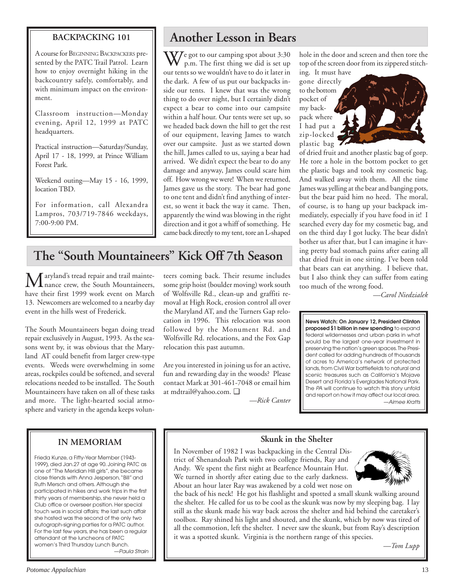# **BACKPACKING 101**

A course for BEGINNING BACKPACKERS presented by the PATC Trail Patrol. Learn how to enjoy overnight hiking in the backcountry safely, comfortably, and with minimum impact on the environment.

Classroom instruction—Monday evening, April 12, 1999 at PATC headquarters.

Practical instruction—Saturday/Sunday, April 17 - 18, 1999, at Prince William Forest Park.

Weekend outing—May 15 - 16, 1999, location TBD.

For information, call Alexandra Lampros, 703/719-7846 weekdays, 7:00-9:00 PM.

# **Another Lesson in Bears**

 $\rm W$ e got to our camping spot about 3:30 p.m. The first thing we did is set up our tents so we wouldn't have to do it later in the dark. A few of us put our backpacks inside our tents. I knew that was the wrong thing to do over night, but I certainly didn't expect a bear to come into our campsite within a half hour. Our tents were set up, so we headed back down the hill to get the rest of our equipment, leaving James to watch over our campsite. Just as we started down the hill, James called to us, saying a bear had arrived. We didn't expect the bear to do any damage and anyway, James could scare him off. How wrong we were! When we returned, James gave us the story. The bear had gone to one tent and didn't find anything of interest, so went it back the way it came. Then, apparently the wind was blowing in the right direction and it got a whiff of something. He came back directly to my tent, tore an L-shaped

# **The "South Mountaineers" Kick Off 7th Season**

Maryland's tread repair and trail mainte-<br>hance crew, the South Mountaineers, have their first 1999 work event on March 13. Newcomers are welcomed to a nearby day event in the hills west of Frederick.

The South Mountaineers began doing tread repair exclusively in August, 1993. As the seasons went by, it was obvious that the Maryland AT could benefit from larger crew-type events. Weeds were overwhelming in some areas, rockpiles could be softened, and several relocations needed to be installed. The South Mountaineers have taken on all of these tasks and more. The light-hearted social atmosphere and variety in the agenda keeps volunteers coming back. Their resume includes some grip hoist (boulder moving) work south of Wolfsville Rd., clean-up and graffiti removal at High Rock, erosion control all over the Maryland AT, and the Turners Gap relocation in 1996. This relocation was soon followed by the Monument Rd. and Wolfsville Rd. relocations, and the Fox Gap relocation this past autumn.

Are you interested in joining us for an active, fun and rewarding day in the woods? Please contact Mark at 301-461-7048 or email him at mdtrail@yahoo.com. ❑

 *—Rick Canter*

hole in the door and screen and then tore the top of the screen door from its zippered stitch-

gone directly to the bottom pocket of my backpack where I had put a zip-locked plastic bag

ing. It must have

of dried fruit and another plastic bag of gorp. He tore a hole in the bottom pocket to get the plastic bags and took my cosmetic bag. And walked away with them. All the time James was yelling at the bear and banging pots, but the bear paid him no heed. The moral, of course, is to hang up your backpack immediately, especially if you have food in it! I searched every day for my cosmetic bag, and on the third day I got lucky. The bear didn't bother us after that, but I can imagine it having pretty bad stomach pains after eating all that dried fruit in one sitting. I've been told that bears can eat anything. I believe that, but I also think they can suffer from eating too much of the wrong food.

*—Carol Niedzialek*

**News Watch: On January 12, President Clinton proposed \$1 billion in new spending** to expand federal wildernesses and urban parks in what would be the largest one-year investment in preserving the nation's green spaces. The President called for adding hundreds of thousands of acres to America's network of protected lands, from Civil War battlefields to natural and scenic treasures such as California's Mojave Desert and Florida's Everglades National Park. The PA will continue to watch this story unfold and report on how it may affect our local area. —Aimee Kratts

# **IN MEMORIAM**

Frieda Kunze, a Fifty-Year Member (1943- 1999), died Jan.27 at age 90. Joining PATC as one of "The Meridian Hill girls", she became close friends with Anna Jesperson, "Bill" and Ruth Mersch and others. Although she participated in hikes and work trips in the first thirty years of membership, she never held a Club office or overseer position. Her special touch was in social affairs; the last such affair she hosted was the second of the only two autograph-signing parties for a PATC author. For the last few years, she has been a regular attendant at the luncheons of PATC women's Third Thursday Lunch Bunch. —Paula Strain

# **Skunk in the Shelter**

In November of 1982 I was backpacking in the Central District of Shenandoah Park with two college friends, Ray and Andy. We spent the first night at Bearfence Mountain Hut. We turned in shortly after eating due to the early darkness. About an hour later Ray was awakened by a cold wet nose on



the back of his neck! He got his flashlight and spotted a small skunk walking around the shelter. He called for us to be cool as the skunk was now by my sleeping bag. I lay still as the skunk made his way back across the shelter and hid behind the caretaker's toolbox. Ray shined his light and shouted, and the skunk, which by now was tired of all the commotion, left the shelter. I never saw the skunk, but from Ray's description it was a spotted skunk. Virginia is the northern range of this species.

*—Tom Lupp*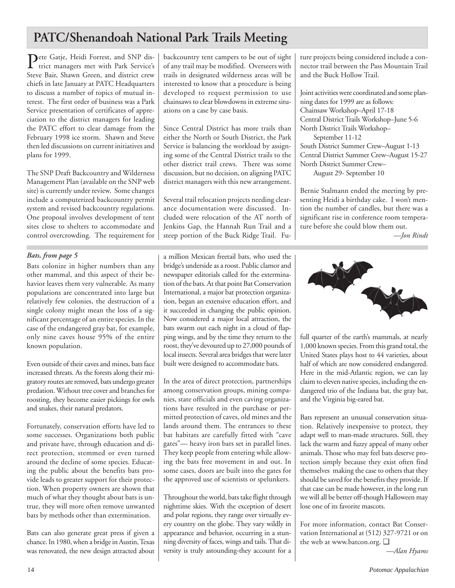# **PATC/Shenandoah National Park Trails Meeting**

Pete Gatje, Heidi Forrest, and SNP district managers met with Park Service's Steve Bair, Shawn Green, and district crew chiefs in late January at PATC Headquarters to discuss a number of topics of mutual interest. The first order of business was a Park Service presentation of certificates of appreciation to the district managers for leading the PATC effort to clear damage from the February 1998 ice storm. Shawn and Steve then led discussions on current initiatives and plans for 1999.

The SNP Draft Backcountry and Wilderness Management Plan (available on the SNP web site) is currently under review. Some changes include a computerized backcountry permit system and revised backcountry regulations. One proposal involves development of tent sites close to shelters to accommodate and control overcrowding. The requirement for

### *Bats, from page 5*

Bats colonize in higher numbers than any other mammal, and this aspect of their behavior leaves them very vulnerable. As many populations are concentrated into large but relatively few colonies, the destruction of a single colony might mean the loss of a significant percentage of an entire species. In the case of the endangered gray bat, for example, only nine caves house 95% of the entire known population.

Even outside of their caves and mines, bats face increased threats. As the forests along their migratory routes are removed, bats undergo greater predation. Without tree cover and branches for roosting, they become easier pickings for owls and snakes, their natural predators.

Fortunately, conservation efforts have led to some successes. Organizations both public and private have, through education and direct protection, stemmed or even turned around the decline of some species. Educating the public about the benefits bats provide leads to greater support for their protection. When property owners are shown that much of what they thought about bats is untrue, they will more often remove unwanted bats by methods other than extermination.

Bats can also generate great press if given a chance. In 1980, when a bridge in Austin, Texas was renovated, the new design attracted about backcountry tent campers to be out of sight of any trail may be modified. Overseers with trails in designated wilderness areas will be interested to know that a procedure is being developed to request permission to use chainsaws to clear blowdowns in extreme situations on a case by case basis.

Since Central District has more trails than either the North or South District, the Park Service is balancing the workload by assigning some of the Central District trails to the other district trail crews. There was some discussion, but no decision, on aligning PATC district managers with this new arrangement.

Several trail relocation projects needing clearance documentation were discussed. Included were relocation of the AT north of Jenkins Gap, the Hannah Run Trail and a steep portion of the Buck Ridge Trail. Future projects being considered include a connector trail between the Pass Mountain Trail and the Buck Hollow Trail.

Joint activities were coordinated and some planning dates for 1999 are as follows: Chainsaw Workshop–April 17-18 Central District Trails Workshop–June 5-6 North District Trails Workshop– September 11-12 South District Summer Crew–August 1-13

Central District Summer Crew–August 15-27 North District Summer Crew–

August 29- September 10

Bernie Stalmann ended the meeting by presenting Heidi a birthday cake. I won't mention the number of candles, but there was a significant rise in conference room temperature before she could blow them out.

*—Jon Rindt*

a million Mexican freetail bats, who used the bridge's underside as a roost. Public clamor and newspaper editorials called for the extermination of the bats. At that point Bat Conservation International, a major bat protection organization, began an extensive education effort, and it succeeded in changing the public opinion. Now considered a major local attraction, the bats swarm out each night in a cloud of flapping wings, and by the time they return to the roost, they've devoured up to 27,000 pounds of local insects. Several area bridges that were later built were designed to accommodate bats.

In the area of direct protection, partnerships among conservation groups, mining companies, state officials and even caving organizations have resulted in the purchase or permitted protection of caves, old mines and the lands around them. The entrances to these bat habitats are carefully fitted with "cave gates"— heavy iron bars set in parallel lines. They keep people from entering while allowing the bats free movement in and out. In some cases, doors are built into the gates for the approved use of scientists or spelunkers.

Throughout the world, bats take flight through nighttime skies. With the exception of desert and polar regions, they range over virtually every country on the globe. They vary wildly in appearance and behavior, occurring in a stunning diversity of faces, wings and tails. That diversity is truly astounding-they account for a



full quarter of the earth's mammals, at nearly 1,000 known species. From this grand total, the United States plays host to 44 varieties, about half of which are now considered endangered. Here in the mid-Atlantic region, we can lay claim to eleven native species, including the endangered trio of the Indiana bat, the gray bat, and the Virginia big-eared bat.

Bats represent an unusual conservation situation. Relatively inexpensive to protect, they adapt well to man-made structures. Still, they lack the warm and fuzzy appeal of many other animals. Those who may feel bats deserve protection simply because they exist often find themselves making the case to others that they should be saved for the benefits they provide. If that case can be made however, in the long run we will all be better off-though Halloween may lose one of its favorite mascots.

For more information, contact Bat Conservation International at (512) 327-9721 or on the web at www.batcon.org. ❑

*—Alan Hyams*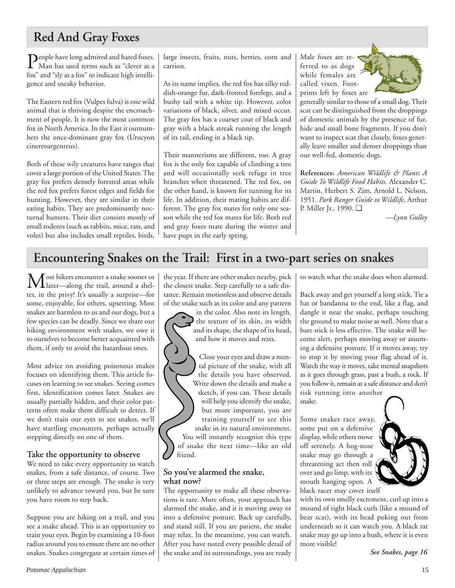# **Red And Gray Foxes**

People have long admired and hated foxes.<br>Man has used terms such as "clever as a fox" and "sly as a fox" to indicate high intelligence and sneaky behavior.

The Eastern red fox (Vulpes fulva) is one wild animal that is thriving despite the encroachment of people. It is now the most common fox in North America. In the East it outnumbers the once-dominant gray fox (Urocyon cinereoargenteus).

Both of these wily creatures have ranges that cover a large portion of the United States. The gray fox prefers densely forested areas while the red fox prefers forest edges and fields for hunting. However, they are similar in their eating habits. They are predominantly nocturnal hunters. Their diet consists mostly of small rodents (such as rabbits, mice, rats, and voles) but also includes small reptiles, birds,

large insects, fruits, nuts, berries, corn and carrion.

As its name implies, the red fox has silky reddish-orange fur, dark-fronted forelegs, and a bushy tail with a white tip. However, color variations of black, silver, and mixed occur. The gray fox has a coarser coat of black and gray with a black streak running the length of its tail, ending in a black tip.

Their mannerisms are different, too. A gray fox is the only fox capable of climbing a tree and will occasionally seek refuge in tree branches when threatened. The red fox, on the other hand, is known for running for its life. In addition, their mating habits are different. The gray fox mates for only one season while the red fox mates for life. Both red and gray foxes mate during the winter and have pups in the early spring.

Male foxes are referred to as dogs while females are called vixen. Footprints left by foxes are



generally similar to those of a small dog. Their scat can be distinguished from the droppings of domestic animals by the presence of fur, hide and small bone fragments. If you don't want to inspect scat that closely, foxes generally leave smaller and denser droppings than our well-fed, domestic dogs.

**References:** *American Wildlife & Plants A Guide To Wildlife Food Habits.* Alexander C. Martin, Herbert S. Zim, Arnold L. Nelson, 1951. *Park Ranger Guide to Wildlife,* Arthur P. Miller Jr., 1990. ❑

*—Lynn Gulley*

# **Encountering Snakes on the Trail: First in a two-part series on snakes**

Most hikers encounter a snake sooner or<br>later—along the trail, around a shelter, in the privy! It's usually a surprise—for some, enjoyable, for others, upsetting. Most snakes are harmless to us and our dogs, but a few species can be deadly. Since we share our hiking environment with snakes, we owe it to ourselves to become better acquainted with them, if only to avoid the hazardous ones.

Most advice on avoiding poisonous snakes focuses on identifying them. This article focuses on learning to see snakes. Seeing comes first, identification comes later. Snakes are usually partially hidden, and their color patterns often make them difficult to detect. If we don't train our eyes to see snakes, we'll have startling encounters, perhaps actually stepping directly on one of them.

# **Take the opportunity to observe**

We need to take every opportunity to watch snakes, from a safe distance, of course. Two or three steps are enough. The snake is very unlikely to advance toward you, but be sure you have room to step back.

Suppose you are hiking on a trail, and you see a snake ahead. This is an opportunity to train your eyes. Begin by examining a 10-foot radius around you to ensure there are no other snakes. Snakes congregate at certain times of

the year. If there are other snakes nearby, pick the closest snake. Step carefully to a safe distance. Remain motionless and observe details of the snake such as its color and any pattern

in the color. Also note its length, the texture of its skin, its width and its shape, the shape of its head, and how it moves and rests.

Close your eyes and draw a mental picture of the snake, with all the details you have observed. Write down the details and make a sketch, if you can. These details will help you identify the snake, but more important, you are training yourself to see this snake in its natural environment. You will instantly recognize this type of snake the next time—like an old friend.

# **So you've alarmed the snake, what now?**

The opportunity to make all these observations is rare. More often, your approach has alarmed the snake, and it is moving away or into a defensive posture. Back up carefully, and stand still. If you are patient, the snake may relax. In the meantime, you can watch. After you have noted every possible detail of the snake and its surroundings, you are ready to watch what the snake does when alarmed.

Back away and get yourself a long stick. Tie a hat or bandanna to the end, like a flag, and dangle it near the snake, perhaps touching the ground to make noise as well. Note that a bare stick is less effective. The snake will become alert, perhaps moving away or assuming a defensive posture. If it moves away, try to stop it by moving your flag ahead of it. Watch the way it moves, take mental snapshots as it goes through grass, past a bush, a rock. If you follow it, remain at a safe distance and don't risk running into another

snake.

Some snakes race away, some put on a defensive display, while others move off serenely. A hog-nose snake may go through a threatening act then roll over and go limp, with its mouth hanging open. A black racer may cover itself



with its own smelly excrement, curl up into a mound of tight black curls (like a mound of bear scat), with its head poking out from underneath so it can watch you. A black rat snake may go up into a bush, where it is even more visible!

*See Snakes, page 16*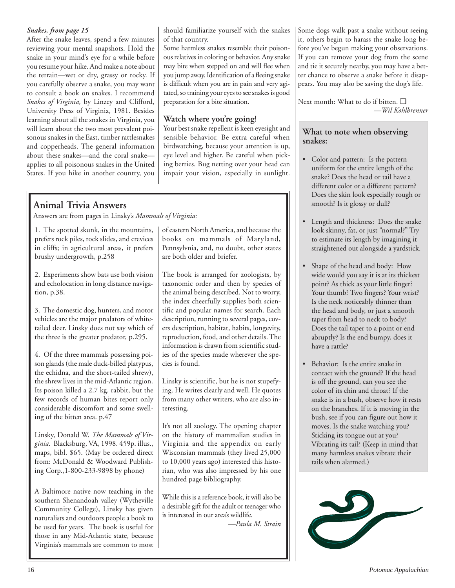### *Snakes, from page 15*

After the snake leaves, spend a few minutes reviewing your mental snapshots. Hold the snake in your mind's eye for a while before you resume your hike. And make a note about the terrain—wet or dry, grassy or rocky. If you carefully observe a snake, you may want to consult a book on snakes. I recommend *Snakes of Virginia,* by Linzey and Clifford, University Press of Virginia, 1981. Besides learning about all the snakes in Virginia, you will learn about the two most prevalent poisonous snakes in the East, timber rattlesnakes and copperheads. The general information about these snakes—and the coral snake applies to all poisonous snakes in the United States. If you hike in another country, you

should familiarize yourself with the snakes of that country.

Some harmless snakes resemble their poisonous relatives in coloring or behavior. Any snake may bite when stepped on and will flee when you jump away. Identification of a fleeing snake is difficult when you are in pain and very agitated, so training your eyes to see snakes is good preparation for a bite situation.

## **Watch where you're going!**

Your best snake repellent is keen eyesight and sensible behavior. Be extra careful when birdwatching, because your attention is up, eye level and higher. Be careful when picking berries. Bug netting over your head can impair your vision, especially in sunlight.

# **Animal Trivia Answers**

Answers are from pages in Linsky's *Mammals of Virginia:*

1. The spotted skunk, in the mountains, prefers rock piles, rock slides, and crevices in cliffs; in agricultural areas, it prefers brushy undergrowth, p.258

2. Experiments show bats use both vision and echolocation in long distance navigation, p.38.

3. The domestic dog, hunters, and motor vehicles are the major predators of whitetailed deer. Linsky does not say which of the three is the greater predator, p.295.

4. Of the three mammals possessing poison glands (the male duck-billed platypus, the echidna, and the short-tailed shrew), the shrew lives in the mid-Atlantic region. Its poison killed a 2.7 kg. rabbit, but the few records of human bites report only considerable discomfort and some swelling of the bitten area. p.47

Linsky, Donald W. *The Mammals of Virginia.* Blacksburg, VA, 1998. 459p. illus., maps, bibl. \$65. (May be ordered direct from: McDonald & Woodward Publishing Corp.,1-800-233-9898 by phone)

A Baltimore native now teaching in the southern Shenandoah valley (Wytheville Community College), Linsky has given naturalists and outdoors people a book to be used for years. The book is useful for those in any Mid-Atlantic state, because Virginia's mammals are common to most of eastern North America, and because the books on mammals of Maryland, Pennsylvnia, and, no doubt, other states are both older and briefer.

The book is arranged for zoologists, by taxonomic order and then by species of the animal being described. Not to worry, the index cheerfully supplies both scientific and popular names for search. Each description, running to several pages, covers description, habitat, habits, longevity, reproduction, food, and other details. The information is drawn from scientific studies of the species made wherever the species is found.

Linsky is scientific, but he is not stupefying. He writes clearly and well. He quotes from many other writers, who are also interesting.

It's not all zoology. The opening chapter on the history of mammalian studies in Virginia and the appendix on early Wisconsian mammals (they lived 25,000 to 10,000 years ago) interested this historian, who was also impressed by his one hundred page bibliography.

While this is a reference book, it will also be a desirable gift for the adult or teenager who is interested in our area's wildlife.

*—Paula M. Strain*

Some dogs walk past a snake without seeing it, others begin to harass the snake long before you've begun making your observations. If you can remove your dog from the scene and tie it securely nearby, you may have a better chance to observe a snake before it disappears. You may also be saving the dog's life.

Next month: What to do if bitten. ❑ *—Wil Kohlbrenner*

## **What to note when observing snakes:**

- Color and pattern: Is the pattern uniform for the entire length of the snake? Does the head or tail have a different color or a different pattern? Does the skin look especially rough or smooth? Is it glossy or dull?
- Length and thickness: Does the snake look skinny, fat, or just "normal?" Try to estimate its length by imagining it straightened out alongside a yardstick.
- Shape of the head and body: How wide would you say it is at its thickest point? As thick as your little finger? Your thumb? Two fingers? Your wrist? Is the neck noticeably thinner than the head and body, or just a smooth taper from head to neck to body? Does the tail taper to a point or end abruptly? Is the end bumpy, does it have a rattle?
- Behavior: Is the entire snake in contact with the ground? If the head is off the ground, can you see the color of its chin and throat? If the snake is in a bush, observe how it rests on the branches. If it is moving in the bush, see if you can figure out how it moves. Is the snake watching you? Sticking its tongue out at you? Vibrating its tail? (Keep in mind that many harmless snakes vibrate their tails when alarmed.)

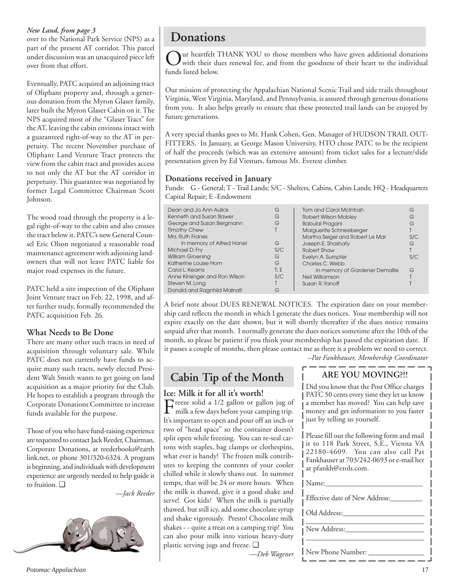### *New Land, from page 3*

over to the National Park Service (NPS) as a part of the present AT corridor. This parcel under discussion was an unacquired piece left over from that effort.

Eventually, PATC acquired an adjoining tract of Oliphant property and, through a generous donation from the Myron Glaser family, later built the Myron Glaser Cabin on it. The NPS acquired most of the "Glaser Tract" for the AT, leaving the cabin environs intact with a guaranteed right-of-way to the AT in perpetuity. The recent November purchase of Oliphant Land Venture Tract protects the view from the cabin tract and provides access to not only the AT but the AT corridor in perpetuity. This guarantee was negotiated by former Legal Committee Chairman Scott Johnson.

The wood road through the property is a legal right-of-way to the cabin and also crosses the tract below it. PATC's new General Counsel Eric Olson negotiated a reasonable road maintenance agreement with adjoining landowners that will not leave PATC liable for major road expenses in the future.

PATC held a site inspection of the Oliphant Joint Venture tract on Feb. 22, 1998, and after further study, formally recommended the PATC acquisition Feb. 26.

# **What Needs to Be Done**

There are many other such tracts in need of acquisition through voluntary sale. While PATC does not currently have funds to acquire many such tracts, newly elected President Walt Smith wants to get going on land acquisition as a major priority for the Club. He hopes to establish a program through the Corporate Donations Committee to increase funds available for the purpose.

Those of you who have fund-raising experience are requested to contact Jack Reeder, Chairman, Corporate Donations, at reederbooks@earth link.net, or phone 301/320-6324. A program is beginning, and individuals with development experience are urgently needed to help guide it to fruition. ❑

*—Jack Reeder*



# **Donations**

Our heartfelt THANK YOU to those members who have given additional donations<br>with their dues renewal fee, and from the goodness of their heart to the individual funds listed below.

Our mission of protecting the Appalachian National Scenic Trail and side trails throughout Virginia, West Virginia, Maryland, and Pennsylvania, is assured through generous donations from you. It also helps greatly to ensure that these protected trail lands can be enjoyed by future generations.

A very special thanks goes to Mr. Hank Cohen, Gen. Manager of HUDSON TRAIL OUT-FITTERS. In January, at George Mason University, HTO chose PATC to be the recipient of half the proceeds (which was an extensive amount) from ticket sales for a lecture/slide presentation given by Ed Viesturs, famous Mt. Everest climber.

### **Donations received in January**

**Ice: Milk it for all it's worth!**

plastic serving jugs and freeze. ❑

Freeze solid a  $1/2$  gallon or gallon jug of milk a few days before your camping trip. It's important to open and pour off an inch or two of "head space" so the container doesn't split open while freezing. You can re-seal cartons with staples, bag clamps or clothespins, what ever is handy! The frozen milk contributes to keeping the contents of your cooler chilled while it slowly thaws out. In summer temps, that will be 24 or more hours. When the milk is thawed, give it a good shake and serve! Got kids? When the milk is partially thawed, but still icy, add some chocolate syrup and shake vigorously. Presto! Chocolate milk shakes - - quite a treat on a camping trip! You can also pour milk into various heavy-duty

Funds: G - General; T - Trail Lands; S/C - Shelters, Cabins, Cabin Lands; HQ - Headquarters Capital Repair; E -Endowment

| Dean and Jo Ann Aulick        | G    | Tom and Carol McIntosh          | G   |
|-------------------------------|------|---------------------------------|-----|
| Kenneth and Susan Bawer       | G    | <b>Robert Wilson Mobley</b>     | G   |
| George and Susan Bergmann     | G    | <b>Babulal Pragani</b>          | G   |
| <b>Timothy Chew</b>           |      | Marguerite Schneeberger         |     |
| Mrs. Ruth Franes              |      | Martha Seigel and Robert Le Mar | S/C |
| in memory of Alfred Hanel     | G    | Joseph E. Shashaty              | G   |
| Michael D. Fry                | S/C  | Robert Shaw                     |     |
| William Groening              | G    | Evelyn A. Sumpter               | S/C |
| Katherine Louise Horn         | G    | Charles C. Webb                 |     |
| Carol L. Kearns               | T: E | in memory of Gardener Demallie  | G   |
| Anne Kinsinger and Ron Wilson | S/C  | Neil Williamson                 |     |
| Steven M. Long                |      | Susan R. Yanoff                 |     |
| Donald and Ragnhild Malnati   | G    |                                 |     |
|                               |      |                                 |     |

A brief note about DUES RENEWAL NOTICES. The expiration date on your membership card reflects the month in which I generate the dues notices. Your membership will not expire exactly on the date shown, but it will shortly thereafter if the dues notice remains unpaid after that month. I normally generate the dues notices sometime after the 10th of the month, so please be patient if you think your membership has passed the expiration date. If it passes a couple of months, then please contact me as there is a problem we need to correct.

*–Pat Fankhauser, Membership Coordinator*

#### **Cabin Tip of the Month ARE YOU MOVING?!!**

Did you know that the Post Office charges PATC 50 cents every time they let us know a member has moved? You can help save money and get information to you faster just by telling us yourself.

Please fill out the following form and mail it to 118 Park Street, S.E., Vienna VA 22180-4609. You can also call Pat Fankhauser at 703/242-0693 or e-mail her at pfankh@erols.com.

| Name:                          |  |
|--------------------------------|--|
| Effective date of New Address: |  |
| Old Address:                   |  |
| New Address:                   |  |
| New Phone Number:              |  |

*—Deb Wagener*

*Potomac Appalachian* 17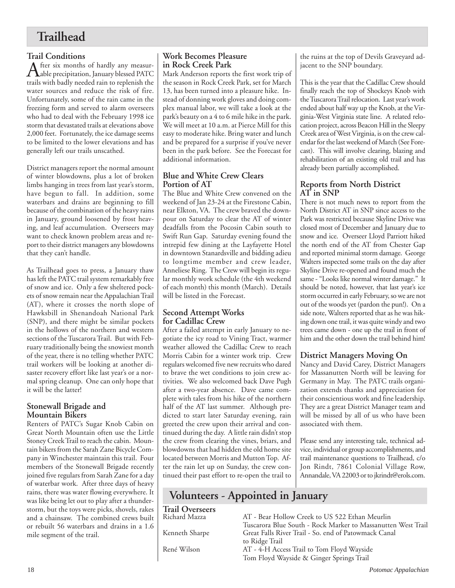# **Trailhead**

**Trail Conditions**<br>**A** fter six months of hardly any measur-After six months of hardly any measur-<br>Aable precipitation, January blessed PATC trails with badly needed rain to replenish the water sources and reduce the risk of fire. Unfortunately, some of the rain came in the freezing form and served to alarm overseers who had to deal with the February 1998 ice storm that devastated trails at elevations above 2,000 feet. Fortunately, the ice damage seems to be limited to the lower elevations and has generally left our trails unscathed.

District managers report the normal amount of winter blowdowns, plus a lot of broken limbs hanging in trees from last year's storm, have begun to fall. In addition, some waterbars and drains are beginning to fill because of the combination of the heavy rains in January, ground loosened by frost heaving, and leaf accumulation. Overseers may want to check known problem areas and report to their district managers any blowdowns that they can't handle.

As Trailhead goes to press, a January thaw has left the PATC trail system remarkably free of snow and ice. Only a few sheltered pockets of snow remain near the Appalachian Trail (AT), where it crosses the north slope of Hawksbill in Shenandoah National Park (SNP), and there might be similar pockets in the hollows of the northern and western sections of the Tuscarora Trail. But with February traditionally being the snowiest month of the year, there is no telling whether PATC trail workers will be looking at another disaster recovery effort like last year's or a normal spring cleanup. One can only hope that it will be the latter!

## **Stonewall Brigade and Mountain Bikers**

Renters of PATC's Sugar Knob Cabin on Great North Mountain often use the Little Stoney Creek Trail to reach the cabin. Mountain bikers from the Sarah Zane Bicycle Company in Winchester maintain this trail. Four members of the Stonewall Brigade recently joined five regulars from Sarah Zane for a day of waterbar work. After three days of heavy rains, there was water flowing everywhere. It was like being let out to play after a thunderstorm, but the toys were picks, shovels, rakes and a chainsaw. The combined crews built or rebuilt 56 waterbars and drains in a 1.6 mile segment of the trail.

# **Work Becomes Pleasure in Rock Creek Park**

Mark Anderson reports the first work trip of the season in Rock Creek Park, set for March 13, has been turned into a pleasure hike. Instead of donning work gloves and doing complex manual labor, we will take a look at the park's beauty on a 4 to 6 mile hike in the park. We will meet at 10 a.m. at Pierce Mill for this easy to moderate hike. Bring water and lunch and be prepared for a surprise if you've never been in the park before. See the Forecast for additional information.

# **Blue and White Crew Clears Portion of AT**

The Blue and White Crew convened on the weekend of Jan 23-24 at the Firestone Cabin, near Elkton, VA. The crew braved the downpour on Saturday to clear the AT of winter deadfalls from the Pocosin Cabin south to Swift Run Gap. Saturday evening found the intrepid few dining at the Layfayette Hotel in downtown Stanardsville and bidding adieu to longtime member and crew leader, Anneliese Ring. The Crew will begin its regular monthly work schedule (the 4th weekend of each month) this month (March). Details will be listed in the Forecast.

# **Second Attempt Works for Cadillac Crew**

After a failed attempt in early January to negotiate the icy road to Vining Tract, warmer weather allowed the Cadillac Crew to reach Morris Cabin for a winter work trip. Crew regulars welcomed five new recruits who dared to brave the wet conditions to join crew activities. We also welcomed back Dave Pugh after a two-year absence. Dave came complete with tales from his hike of the northern half of the AT last summer. Although predicted to start later Saturday evening, rain greeted the crew upon their arrival and continued during the day. A little rain didn't stop the crew from clearing the vines, briars, and blowdowns that had hidden the old home site located between Morris and Mutton Top. After the rain let up on Sunday, the crew continued their past effort to re-open the trail to the ruins at the top of Devils Graveyard adjacent to the SNP boundary.

This is the year that the Cadillac Crew should finally reach the top of Shockeys Knob with the Tuscarora Trail relocation. Last year's work ended about half way up the Knob, at the Virginia-West Virginia state line. A related relocation project, across Beacon Hill in the Sleepy Creek area of West Virginia, is on the crew calendar for the last weekend of March (See Forecast). This will involve clearing, blazing and rehabilitation of an existing old trail and has already been partially accomplished.

# **Reports from North District AT in SNP**

There is not much news to report from the North District AT in SNP since access to the Park was restricted because Skyline Drive was closed most of December and January due to snow and ice. Overseer Lloyd Parriott hiked the north end of the AT from Chester Gap and reported minimal storm damage. George Walters inspected some trails on the day after Skyline Drive re-opened and found much the same - "Looks like normal winter damage." It should be noted, however, that last year's ice storm occurred in early February, so we are not out of the woods yet (pardon the pun!). On a side note, Walters reported that as he was hiking down one trail, it was quite windy and two trees came down - one up the trail in front of him and the other down the trail behind him!

# **District Managers Moving On**

Nancy and David Carey, District Managers for Massanutten North will be leaving for Germany in May. The PATC trails organization extends thanks and appreciation for their conscientious work and fine leadership. They are a great District Manager team and will be missed by all of us who have been associated with them.

Please send any interesting tale, technical advice, individual or group accomplishments, and trail maintenance questions to Trailhead, c/o Jon Rindt, 7861 Colonial Village Row, Annandale, VA 22003 or to jkrindt@erols.com.

# **Volunteers - Appointed in January**

**Trail Overseers**

AT - Bear Hollow Creek to US 522 Ethan Meurlin Tuscarora Blue South - Rock Marker to Massanutten West Trail Kenneth Sharpe Great Falls River Trail - So. end of Patowmack Canal to Ridge Trail René Wilson AT - 4-H Access Trail to Tom Floyd Wayside Tom Floyd Wayside & Ginger Springs Trail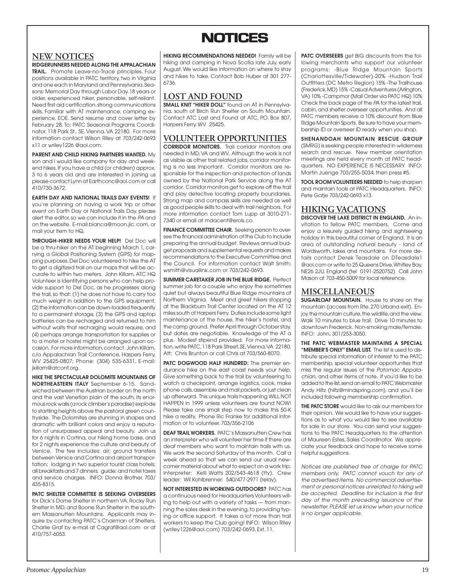# **NOTICES NOTICES**

## **NEW NOTICES**

**RIDGERUNNERS NEEDED ALONG THE APPALACHIAN TRAIL.** Promote Leave-no-Trace principles. Four positions available in PATC territory, two in Virginia and one each in Maryland and Pennsylvania. Seasons: Memorial Day through Labor Day. 18 years or older, experienced hiker, personable, self-reliant. Need first aid certification. strong communications skills. Familiar with AT maintenance, camping experience. EOE. Send resume and cover letter by February 28. To: PATC Seasonal Programs Coordinator. 118 Park St.. SE, Vienna. VA 22180. For more information contact Wilson Riley at 703/242-0693 x11 or wriley1226 @aol.com.

**PARENT AND CHILD HIKING PARTNERS WANTED.** My son and I would like company for day and weekend hikes. If you have a child (or children) approx. 3 to 6 years old and are interested in joining us please contact Lynn at Earthconc@aol.com or call 410/730-3672.

**EARTH DAY AND NATIONAL TRAILS DAY EVENTS!** If you're planning on having a work trip or other event on Earth Day or National Trails Day, please alert the editor, so we can include it in the PA and on the website. E-mail bianca@moon.jic. com, or mail your item to HQ.

**THROUGH-HIKER NEEDS YOUR HELP!** Del Doc will be a thru-hiker on the AT beginning March 1, carrying a Global Positioning System (GPS) for mapping purposes. Del Doc volunteered to hike the AT to get a digitized trail on our maps that will be accurate to within two meters. John Killam, ATC HQ Volunteer is identifying persons who can help provide support to Del Doc, as he progresses along the trail, so that: (1) he does not have to carry too much weight in addition to the GPS equipment, (2) the information can be down-loaded frequently to a permanent storage, (3) the GPS and laptop batteries can be recharged and returned to him without waits that recharging would require, and (4) perhaps arrange transportation for supplies or to a motel or hostel might be arranged upon occasion. For more information, contact: John Killam, c/o Appalachian Trail Conference, Harpers Ferry, WV 25425-0807; Phone: (304) 535-6331, E-mail: jkillam@atconf.org.

**HIKE THE SPECTACULAR DOLOMITE MOUNTAINS OF NORTHEASTERN ITALY** September 6-15. Sandwiched between the Austrian border on the north and the vast Venetian plain of the south, its enormous rock walls (a rock climber's paradise) explode to startling heights above the pastoral green countryside. The Dolomites are stunning in shapes and dramatic with brilliant colors and enjoy a reputation of unsurpassed appeal and beauty. Join us for 6 nights in Cortina, our hiking home base, and for 2 nights experience the culture and beauty of Venice. The fee includes: air; ground transfers between Venice and Cortina and airport transportation; lodging in two superior tourist class hotels; all breakfasts and 7 dinners; guide; and hotel taxes and service charges. INFO: Donna Brother, 703/ 435-8315.

**PATC SHELTER COMMITTEE IS SEEKING OVERSEERS** for Dick's Dome Shelter in northern VA, Rocky Run Shelter in MD, and Boone Run Shelter in the southern Massanutten Mountains. Applicants may inquire by contacting PATC's Chairman of Shelters, Charlie Graf by e-mail at Cagraf@aol.com or at 410/757-6053.

**HIKING RECOMMENDATIONS NEEDED!** Family will be hiking and camping in Nova Scotia late July, early August. We would like information on where to stay and hikes to take. Contact Bob Huber at 301 277- 6736.

# **LOST AND FOUND**

**SMALL KNIT "HIKER DOLL"** found on AT in Pennsylvania, south of Birch Run Shelter on South Mountain. Contact ATC Lost and Found at ATC, P.O. Box 807, Harpers Ferry, WV 25425.

# **VOLUNTEER OPPORTUNITIES**

**CORRIDOR MONITORS.** Trail corridor monitors are needed in MD, VA and WV. Although the work is not as visible as other trail related jobs, corridor monitoring is no less important. Corridor monitors are responsible for the inspection and protection of lands owned by the National Park Service along the AT corridor. Corridor monitors get to explore off the trail and play detective locating property boundaries. Strong map and compass skills are needed as well as good people skills to deal with trail neighbors. For more information contact Tom Lupp at 3010-271- 7340 or email at mdacent@erols.co.

**FINANCE COMMITTEE CHAIR.** Seeking person to oversee the financial administration of the Club to include preparing the annual budget. Reviews annual budget proposals and supplemental requests and makes recommendations to the Executive Committee and the Council. For information contact Walt Smith: wsmith@visuallink.com or 703/242-0693.

**SUMMER CARETAKER JOB IN THE BLUE RIDGE.** Perfect summer job for a couple who enjoy the sometimes quiet but always beautiful Blue Ridge mountains of Northern Virginia. Meet and greet hikers stopping at the Blackburn Trail Center located on the AT 12 miles south of Harpers Ferry. Duties include some light maintenance of the house, the hiker's hostel, and the camp ground. Prefer April through October stay, but dates are negotiable. Knowledge of the AT a plus. Modest stipend provided. For more information, write PATC, 118 Park Street, SE, Vienna, VA 22180. Att: Chris Brunton or call Chris at 703/560-8070.

**PATC DOGWOOD HALF HUNDRED:** The premier endurance hike on the east coast needs your help. Give something back to the trail by volunteering to watch a checkpoint, arrange logistics, cook, make phone calls, assemble and mail packets, or just clean up afterward. This unique trails happening WILL NOT HAPPEN in 1999 unless volunteers are found NOW! Please take one small step now to make this 50-K hike a reality. Phone Ric Franke for additional information or to volunteer. 703/356-2106

**DEAF TRAIL WORKERS.** PATC's Massanutten Crew has an interpreter who will volunteer her time if there are deaf members who want to maintain trails with us. We work the second Saturday of the month. Call a week ahead so that we can send our usual newcomer material about what to expect on a work trip. Interpreter: Kelli Watts 202/543-4618 (tty). Crew leader: Wil Kohlbrenner: 540/477-2971 (relay).

**NOT INTERESTED IN WORKING OUTDOORS?** PATC has a continuous need for Headquarters Volunteers willing to help out with a variety of tasks — from manning the sales desk in the evening, to providing typing or office support. It takes a lot more than trail workers to keep the Club going! INFO: Wilson Riley (wriley1226@aol.com) 703/242-0693, Ext. 11.

**PATC OVERSEERS** get BIG discounts from the following merchants who support our volunteer programs: -Blue Ridge Mountain Sports (Charlottesville/Tidewater)-20% -Hudson Trail Outfitters (DC Metro Region) 15% -The Trailhouse (Frederick, MD) 15% -Casual Adventures (Arlington, VA) 10% -Campmor (Mail Order via PATC HQ) 10% Check the back page of the PA for the latest trail, cabin, and shelter overseer opportunities. And all PATC members receive a 10% discount from Blue Ridge Mountain Sports. Be sure to have your membership ID or overseer ID ready when you shop.

**SHENANDOAH MOUNTAIN RESCUE GROUP** (SMRG) is seeking people interested in wilderness search and rescue. New member orientation meetings are held every month at PATC headquarters. NO EXPERIENCE IS NECESSARY. INFO: Martin Juenge 703/255-5034, then press #5.

**TOOL ROOM VOLUNTEERS NEEDED** to help sharpen and maintain tools at PATC Headquarters. INFO: Pete Gatje 703/242-0693 x13.

# **HIKING VACATIONS**

**DISCOVER THE LAKE DISTRICT IN ENGLAND.** An invitation to fellow PATC members. Come and enjoy a leisurely guided hiking and sightseeing holiday in this beautiful corner of England. It is an area of outstanding natural beauty - land of Wordsworth, lakes and mountains. For more details contact Derek Teasdale on DTeasdale1 @aol.com or write to 25 Queens Drive, Whitley Bay, NE26 2JU, England (tel 0191-2520752) Call John Mason at 703-450-5009 for local reference.

# **MISCELLANEOUS**

**SUGARLOAF MOUNTAIN.** House to share on the mountain (access from Rte. 270 Urbana exit). Enjoy the mountain culture, the wildlife, and the view. Walk 10 minutes to blue trail. Drive 10 minutes to downtown Frederick. Non-smoking male/female. INFO: John, 301/253-3050.

**THE PATC WEBMASTER MAINTAINS A SPECIAL "MEMBER'S ONLY" EMAIL LIST.** The list is used to distribute special information of interest to the PATC membership, special volunteer opportunties that miss the regular issues of the Potomac Appalachian, and other items of note. If you'd like to be added to the list, send an email to PATC Webmaster Andy Hiltz (hiltz@mindspring.com), and you'll be included following membership confirmation.

**THE PATC STORE** would like to ask our members for their opinion. We would like to have your suggestions as to what you would like to see available for sale in our store. You can send your suggestions to the PATC Headquarters to the attention of Maureen Estes, Sales Coordinator. We appreciate your feedback and hope to receive some helpful suggestions.

Notices are published free of charge for PATC members only. PATC cannot vouch for any of the advertised items. No commercial advertisement or personal notices unrelated to hiking will be accepted. Deadline for inclusion is the first day of the month preceding issuance of the newsletter. PLEASE let us know when your notice is no longer applicable.